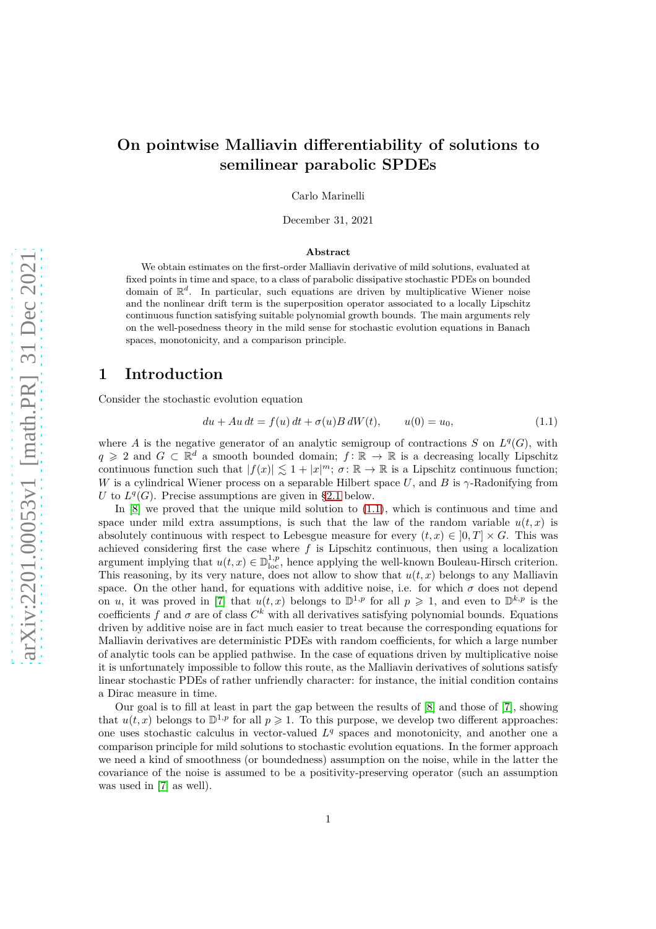# **On pointwise Malliavin differentiability of solutions to semilinear parabolic SPDEs**

Carlo Marinelli

December 31, 2021

#### **Abstract**

We obtain estimates on the first-order Malliavin derivative of mild solutions, evaluated at fixed points in time and space, to a class of parabolic dissipative stochastic PDEs on bounded domain of  $\mathbb{R}^d$ . In particular, such equations are driven by multiplicative Wiener noise and the nonlinear drift term is the superposition operator associated to a locally Lipschitz continuous function satisfying suitable polynomial growth bounds. The main arguments rely on the well-posedness theory in the mild sense for stochastic evolution equations in Banach spaces, monotonicity, and a comparison principle.

### **1 Introduction**

Consider the stochastic evolution equation

<span id="page-0-0"></span>
$$
du + Au dt = f(u) dt + \sigma(u) B dW(t), \qquad u(0) = u_0,
$$
\n(1.1)

where *A* is the negative generator of an analytic semigroup of contractions *S* on  $L^q(G)$ , with *q* ≥ 2 and *G* ⊂  $\mathbb{R}^d$  a smooth bounded domain; *f* :  $\mathbb{R}$  →  $\mathbb{R}$  is a decreasing locally Lipschitz continuous function such that  $|f(x)| \leq 1 + |x|^m$ ;  $\sigma: \mathbb{R} \to \mathbb{R}$  is a Lipschitz continuous function; *W* is a cylindrical Wiener process on a separable Hilbert space *U*, and *B* is *γ*-Radonifying from *U* to  $L^q(G)$ . Precise assumptions are given in [§2.1](#page-1-0) below.

In  $[8]$  we proved that the unique mild solution to  $(1.1)$ , which is continuous and time and space under mild extra assumptions, is such that the law of the random variable  $u(t, x)$  is absolutely continuous with respect to Lebesgue measure for every  $(t, x) \in [0, T] \times G$ . This was achieved considering first the case where *f* is Lipschitz continuous, then using a localization argument implying that  $u(t, x) \in \mathbb{D}_{loc}^{1,p}$ , hence applying the well-known Bouleau-Hirsch criterion. This reasoning, by its very nature, does not allow to show that  $u(t, x)$  belongs to any Malliavin space. On the other hand, for equations with additive noise, i.e. for which  $\sigma$  does not depend on *u*, it was proved in [\[7\]](#page-17-1) that  $u(t, x)$  belongs to  $\mathbb{D}^{1,p}$  for all  $p \geq 1$ , and even to  $\mathbb{D}^{k,p}$  is the coefficients  $f$  and  $\sigma$  are of class  $C^k$  with all derivatives satisfying polynomial bounds. Equations driven by additive noise are in fact much easier to treat because the corresponding equations for Malliavin derivatives are deterministic PDEs with random coefficients, for which a large number of analytic tools can be applied pathwise. In the case of equations driven by multiplicative noise it is unfortunately impossible to follow this route, as the Malliavin derivatives of solutions satisfy linear stochastic PDEs of rather unfriendly character: for instance, the initial condition contains a Dirac measure in time.

Our goal is to fill at least in part the gap between the results of [\[8\]](#page-17-0) and those of [\[7\]](#page-17-1), showing that  $u(t, x)$  belongs to  $\mathbb{D}^{1,p}$  for all  $p \geq 1$ . To this purpose, we develop two different approaches: one uses stochastic calculus in vector-valued  $L<sup>q</sup>$  spaces and monotonicity, and another one a comparison principle for mild solutions to stochastic evolution equations. In the former approach we need a kind of smoothness (or boundedness) assumption on the noise, while in the latter the covariance of the noise is assumed to be a positivity-preserving operator (such an assumption was used in [\[7\]](#page-17-1) as well).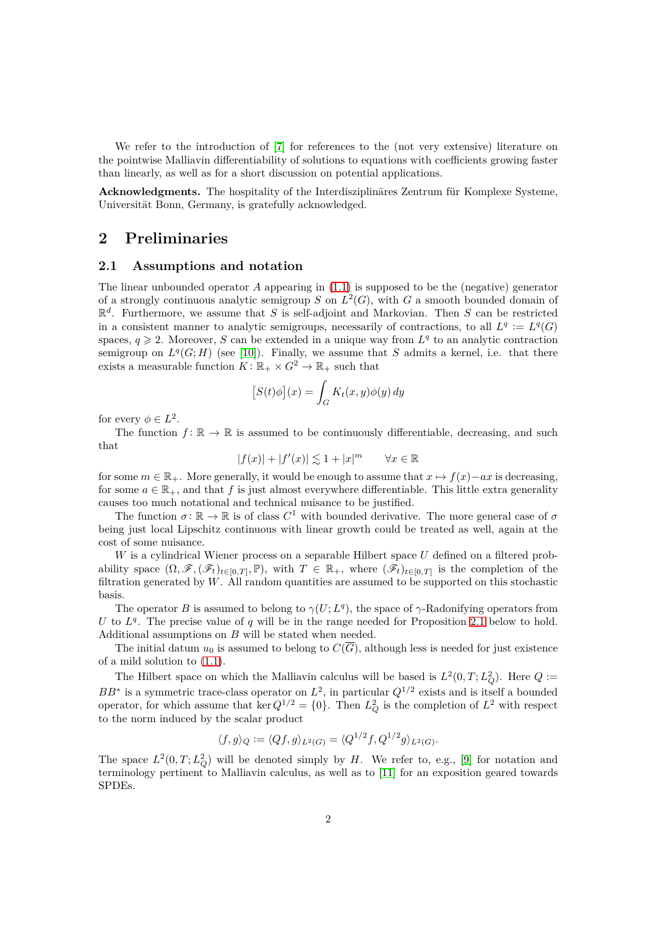We refer to the introduction of [\[7\]](#page-17-1) for references to the (not very extensive) literature on the pointwise Malliavin differentiability of solutions to equations with coefficients growing faster than linearly, as well as for a short discussion on potential applications.

**Acknowledgments.** The hospitality of the Interdisziplinäres Zentrum für Komplexe Systeme, Universität Bonn, Germany, is gratefully acknowledged.

## <span id="page-1-0"></span>**2 Preliminaries**

#### **2.1 Assumptions and notation**

The linear unbounded operator *A* appearing in [\(1.1\)](#page-0-0) is supposed to be the (negative) generator of a strongly continuous analytic semigroup *S* on  $L^2(G)$ , with *G* a smooth bounded domain of R *d* . Furthermore, we assume that *S* is self-adjoint and Markovian. Then *S* can be restricted in a consistent manner to analytic semigroups, necessarily of contractions, to all  $L^q := L^q(G)$ spaces,  $q \ge 2$ . Moreover, *S* can be extended in a unique way from  $L^q$  to an analytic contraction semigroup on  $L^q(G; H)$  (see [\[10\]](#page-17-2)). Finally, we assume that *S* admits a kernel, i.e. that there exists a measurable function  $K: \mathbb{R}_+ \times G^2 \to \mathbb{R}_+$  such that

$$
[S(t)\phi](x) = \int_G K_t(x, y)\phi(y) dy
$$

for every  $\phi \in L^2$ .

The function  $f: \mathbb{R} \to \mathbb{R}$  is assumed to be continuously differentiable, decreasing, and such that

$$
|f(x)| + |f'(x)| \lesssim 1 + |x|^m \qquad \forall x \in \mathbb{R}
$$

for some  $m \in \mathbb{R}_+$ . More generally, it would be enough to assume that  $x \mapsto f(x) - ax$  is decreasing, for some  $a \in \mathbb{R}_+$ , and that f is just almost everywhere differentiable. This little extra generality causes too much notational and technical nuisance to be justified.

The function  $\sigma: \mathbb{R} \to \mathbb{R}$  is of class  $C^1$  with bounded derivative. The more general case of  $\sigma$ being just local Lipschitz continuous with linear growth could be treated as well, again at the cost of some nuisance.

*W* is a cylindrical Wiener process on a separable Hilbert space *U* defined on a filtered probability space  $(\Omega, \mathscr{F}, (\mathscr{F}_t)_{t\in[0,T]}, \mathbb{P})$ , with  $T \in \mathbb{R}_+$ , where  $(\mathscr{F}_t)_{t\in[0,T]}$  is the completion of the filtration generated by  $W$ . All random quantities are assumed to be supported on this stochastic basis.

The operator *B* is assumed to belong to  $\gamma(U;L^q)$ , the space of  $\gamma$ -Radonifying operators from *U* to  $L<sup>q</sup>$ . The precise value of *q* will be in the range needed for Proposition [2.1](#page-2-0) below to hold. Additional assumptions on *B* will be stated when needed.

The initial datum  $u_0$  is assumed to belong to  $C(\overline{G})$ , although less is needed for just existence of a mild solution to [\(1.1\)](#page-0-0).

The Hilbert space on which the Malliavin calculus will be based is  $L^2(0,T; L_Q^2)$ . Here  $Q :=$ *BB*<sup>∗</sup> is a symmetric trace-class operator on  $L^2$ , in particular  $Q^{1/2}$  exists and is itself a bounded operator, for which assume that ker  $Q^{1/2} = \{0\}$ . Then  $L_Q^2$  is the completion of  $L^2$  with respect to the norm induced by the scalar product

$$
\langle f, g \rangle_Q := \langle Qf, g \rangle_{L^2(G)} = \langle Q^{1/2}f, Q^{1/2}g \rangle_{L^2(G)}.
$$

The space  $L^2(0,T; L_Q^2)$  will be denoted simply by *H*. We refer to, e.g., [\[9\]](#page-17-3) for notation and terminology pertinent to Malliavin calculus, as well as to [\[11\]](#page-17-4) for an exposition geared towards SPDEs.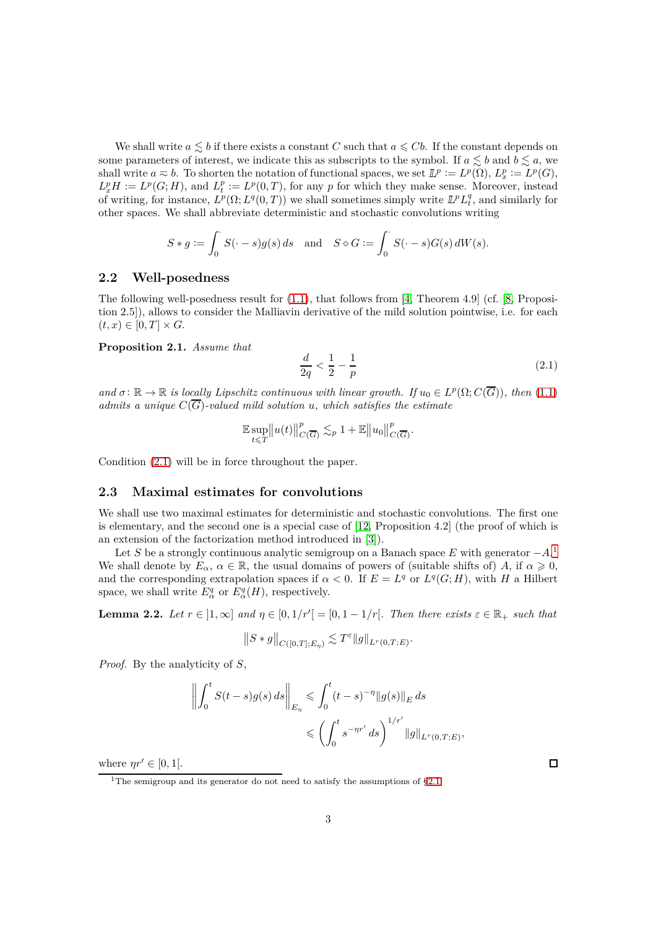We shall write  $a \leq b$  if there exists a constant *C* such that  $a \leq Cb$ . If the constant depends on some parameters of interest, we indicate this as subscripts to the symbol. If  $a \leq b$  and  $b \leq a$ , we shall write  $a \approx b$ . To shorten the notation of functional spaces, we set  $\mathbb{L}^p := L^p(\Omega)$ ,  $L^p_x := L^p(G)$ ,  $L_x^p H := L^p(G; H)$ , and  $L_t^p := L^p(0, T)$ , for any *p* for which they make sense. Moreover, instead of writing, for instance,  $L^p(\Omega; L^q(0,T))$  we shall sometimes simply write  $\mathbb{L}^p L_t^q$ , and similarly for other spaces. We shall abbreviate deterministic and stochastic convolutions writing

$$
S * g := \int_0^{\cdot} S(\cdot - s)g(s) ds \text{ and } S \diamond G := \int_0^{\cdot} S(\cdot - s)G(s) dW(s).
$$

#### **2.2 Well-posedness**

The following well-posedness result for  $(1.1)$ , that follows from [\[4,](#page-17-5) Theorem 4.9] (cf. [\[8,](#page-17-0) Proposition 2.5]), allows to consider the Malliavin derivative of the mild solution pointwise, i.e. for each  $(t, x) \in [0, T] \times G$ .

#### <span id="page-2-0"></span>**Proposition 2.1.** *Assume that*

<span id="page-2-1"></span>
$$
\frac{d}{2q} < \frac{1}{2} - \frac{1}{p} \tag{2.1}
$$

*and*  $\sigma: \mathbb{R} \to \mathbb{R}$  *is locally Lipschitz continuous with linear growth.* If  $u_0 \in L^p(\Omega; C(\overline{G}))$ , then [\(1.1\)](#page-0-0) *admits a unique*  $C(\overline{G})$ -valued mild solution *u*, which satisfies the estimate

$$
\mathbb{E}\sup_{t\leq T}\bigl\|u(t)\bigr\|_{C(\overline{G})}^p\lesssim_p 1+\mathbb{E}\bigl\|u_0\bigr\|_{C(\overline{G})}^p.
$$

Condition [\(2.1\)](#page-2-1) will be in force throughout the paper.

#### **2.3 Maximal estimates for convolutions**

We shall use two maximal estimates for deterministic and stochastic convolutions. The first one is elementary, and the second one is a special case of [\[12,](#page-17-6) Proposition 4.2] (the proof of which is an extension of the factorization method introduced in [\[3\]](#page-17-7)).

Let *S* be a strongly continuous analytic semigroup on a Banach space *E* with generator −*A*. [1](#page-2-2) We shall denote by  $E_\alpha$ ,  $\alpha \in \mathbb{R}$ , the usual domains of powers of (suitable shifts of) *A*, if  $\alpha \geq 0$ , and the corresponding extrapolation spaces if  $\alpha < 0$ . If  $E = L<sup>q</sup>$  or  $L<sup>q</sup>(G; H)$ , with *H* a Hilbert space, we shall write  $E^q_\alpha$  or  $E^q_\alpha(H)$ , respectively.

<span id="page-2-3"></span>**Lemma 2.2.** Let  $r \in [1, \infty]$  and  $\eta \in [0, 1/r'] = [0, 1 - 1/r]$ . Then there exists  $\varepsilon \in \mathbb{R}_+$  such that

$$
||S * g||_{C([0,T];E_\eta)} \lesssim T^{\varepsilon} ||g||_{L^r(0,T;E)}.
$$

*Proof.* By the analyticity of *S*,

$$
\left\| \int_0^t S(t-s)g(s) \, ds \right\|_{E_\eta} \leq \int_0^t (t-s)^{-\eta} \|g(s)\|_E \, ds
$$
  

$$
\leq \left( \int_0^t s^{-\eta r'} \, ds \right)^{1/r'} \|g\|_{L^r(0,T;E)},
$$

where  $\eta r' \in [0, 1]$ .

 $\Box$ 

<span id="page-2-2"></span><sup>&</sup>lt;sup>1</sup>The semigroup and its generator do not need to satisfy the assumptions of  $\S 2.1$ .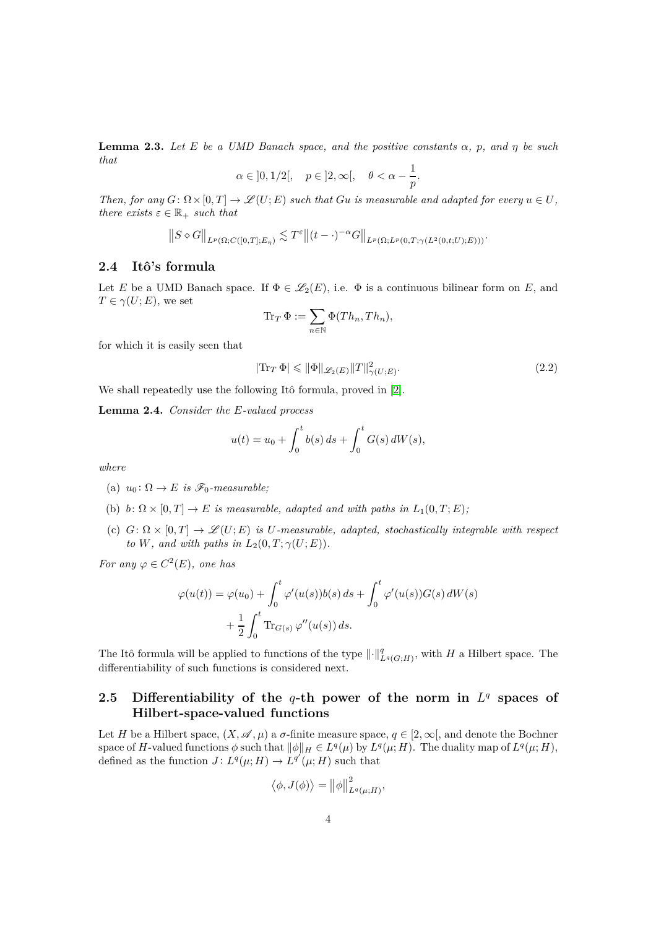<span id="page-3-0"></span>**Lemma 2.3.** *Let E be a UMD Banach space, and the positive constants α, p, and η be such that*

$$
\alpha \in \left]0,1/2\right[, \quad p \in \left]2,\infty\right[, \quad \theta < \alpha - \frac{1}{p}.
$$

*Then, for any*  $G: \Omega \times [0, T] \to \mathcal{L}(U; E)$  *such that*  $Gu$  *is measurable and adapted for every*  $u \in U$ *, there exists*  $\varepsilon \in \mathbb{R}_+$  *such that* 

$$
||S \diamond G||_{L^p(\Omega; C([0,T]; E_\eta))} \lesssim T^{\varepsilon} ||(t-\cdot)^{-\alpha} G||_{L^p(\Omega; L^p(0,T; \gamma(L^2(0,t;U); E)))}.
$$

### **2.4 Itô's formula**

Let *E* be a UMD Banach space. If  $\Phi \in \mathscr{L}_2(E)$ , i.e.  $\Phi$  is a continuous bilinear form on *E*, and  $T \in \gamma(U; E)$ , we set

$$
\operatorname{Tr}_T \Phi := \sum_{n \in \mathbb{N}} \Phi(Th_n, Th_n),
$$

for which it is easily seen that

$$
|\text{Tr}_T \Phi| \le \|\Phi\|_{\mathscr{L}_2(E)} \|T\|_{\gamma(U;E)}^2.
$$
\n(2.2)

We shall repeatedly use the following Itô formula, proved in [\[2\]](#page-17-8).

**Lemma 2.4.** *Consider the E-valued process*

$$
u(t) = u_0 + \int_0^t b(s) \, ds + \int_0^t G(s) \, dW(s),
$$

*where*

- (a)  $u_0: \Omega \to E$  *is*  $\mathscr{F}_0$ *-measurable*;
- (b) *b*:  $\Omega \times [0, T] \rightarrow E$  *is measurable, adapted and with paths in*  $L_1(0, T; E)$ ;
- (c)  $G: \Omega \times [0, T] \rightarrow \mathcal{L}(U; E)$  *is U-measurable, adapted, stochastically integrable with respect to W, and with paths in*  $L_2(0, T; \gamma(U; E)).$

*For any*  $\varphi \in C^2(E)$ *, one has* 

$$
\varphi(u(t)) = \varphi(u_0) + \int_0^t \varphi'(u(s))b(s) ds + \int_0^t \varphi'(u(s))G(s) dW(s)
$$

$$
+ \frac{1}{2} \int_0^t \text{Tr}_{G(s)} \varphi''(u(s)) ds.
$$

The Itô formula will be applied to functions of the type  $\lVert \cdot \rVert^q_{L^q(G;H)}$ , with *H* a Hilbert space. The differentiability of such functions is considered next.

### 2.5 Differentiability of the  $q$ -th power of the norm in  $L^q$  spaces of **Hilbert-space-valued functions**

Let *H* be a Hilbert space,  $(X, \mathscr{A}, \mu)$  a  $\sigma$ -finite measure space,  $q \in [2, \infty]$ , and denote the Bochner space of *H*-valued functions  $\phi$  such that  $\|\phi\|_H \in L^q(\mu)$  by  $L^q(\mu; H)$ . The duality map of  $L^q(\mu; H)$ , defined as the function  $J: L^q(\mu; H) \to L^{q'}(\mu; H)$  such that

$$
\left\langle \phi, J(\phi) \right\rangle = \left\| \phi \right\|_{L^q(\mu;H)}^2,
$$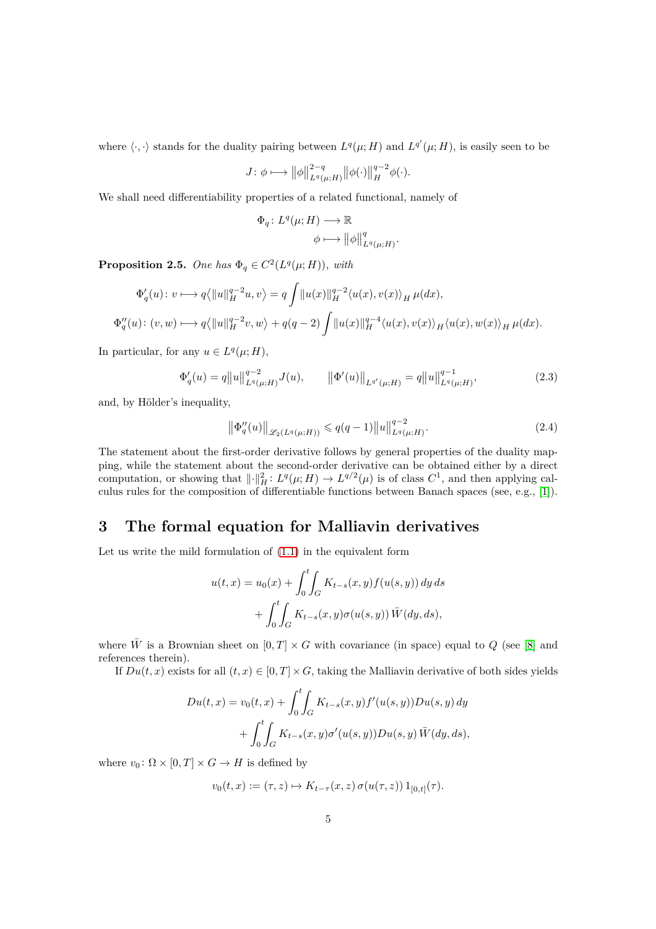where  $\langle \cdot, \cdot \rangle$  stands for the duality pairing between  $L^q(\mu; H)$  and  $L^{q'}(\mu; H)$ , is easily seen to be

$$
J: \phi \longmapsto \|\phi\|_{L^q(\mu;H)}^{2-q} \|\phi(\cdot)\|_{H}^{q-2}\phi(\cdot).
$$

We shall need differentiability properties of a related functional, namely of

$$
\Phi_q \colon L^q(\mu; H) \longrightarrow \mathbb{R}
$$

$$
\phi \longmapsto \|\phi\|_{L^q(\mu;H)}^q.
$$

**Proposition 2.5.** One has  $\Phi_q \in C^2(L^q(\mu; H))$ , with

$$
\Phi'_q(u) \colon v \longmapsto q \langle ||u||_H^{q-2}u, v \rangle = q \int ||u(x)||_H^{q-2} \langle u(x), v(x) \rangle_H \, \mu(dx),
$$
  

$$
\Phi''_q(u) \colon (v, w) \longmapsto q \langle ||u||_H^{q-2}v, w \rangle + q(q-2) \int ||u(x)||_H^{q-4} \langle u(x), v(x) \rangle_H \langle u(x), w(x) \rangle_H \, \mu(dx).
$$

In particular, for any  $u \in L^q(\mu; H)$ ,

$$
\Phi'_{q}(u) = q||u||_{L^{q}(\mu;H)}^{q-2}J(u), \qquad ||\Phi'(u)||_{L^{q'}(\mu;H)} = q||u||_{L^{q}(\mu;H)}^{q-1}, \qquad (2.3)
$$

and, by Hölder's inequality,

$$
\left\|\Phi''_q(u)\right\|_{\mathscr{L}_2(L^q(\mu;H))} \leqslant q(q-1) \|u\|_{L^q(\mu;H)}^{q-2}.
$$
\n(2.4)

The statement about the first-order derivative follows by general properties of the duality mapping, while the statement about the second-order derivative can be obtained either by a direct computation, or showing that  $\|\cdot\|_H^2$ :  $L^q(\mu; H) \to L^{q/2}(\mu)$  is of class  $C^1$ , and then applying calculus rules for the composition of differentiable functions between Banach spaces (see, e.g., [\[1\]](#page-17-9)).

# **3 The formal equation for Malliavin derivatives**

Let us write the mild formulation of [\(1.1\)](#page-0-0) in the equivalent form

$$
u(t,x) = u_0(x) + \int_0^t \int_G K_{t-s}(x,y) f(u(s,y)) dy ds
$$
  
+ 
$$
\int_0^t \int_G K_{t-s}(x,y) \sigma(u(s,y)) \overline{W}(dy, ds),
$$

where  $\bar{W}$  is a Brownian sheet on  $[0, T] \times G$  with covariance (in space) equal to  $Q$  (see [\[8\]](#page-17-0) and references therein).

If  $Du(t, x)$  exists for all  $(t, x) \in [0, T] \times G$ , taking the Malliavin derivative of both sides yields

$$
Du(t, x) = v_0(t, x) + \int_0^t \int_G K_{t-s}(x, y) f'(u(s, y)) Du(s, y) dy + \int_0^t \int_G K_{t-s}(x, y) \sigma'(u(s, y)) Du(s, y) \overline{W}(dy, ds),
$$

where  $v_0$ :  $\Omega \times [0, T] \times G \rightarrow H$  is defined by

$$
v_0(t, x) := (\tau, z) \mapsto K_{t-\tau}(x, z) \sigma(u(\tau, z)) 1_{[0,t]}(\tau).
$$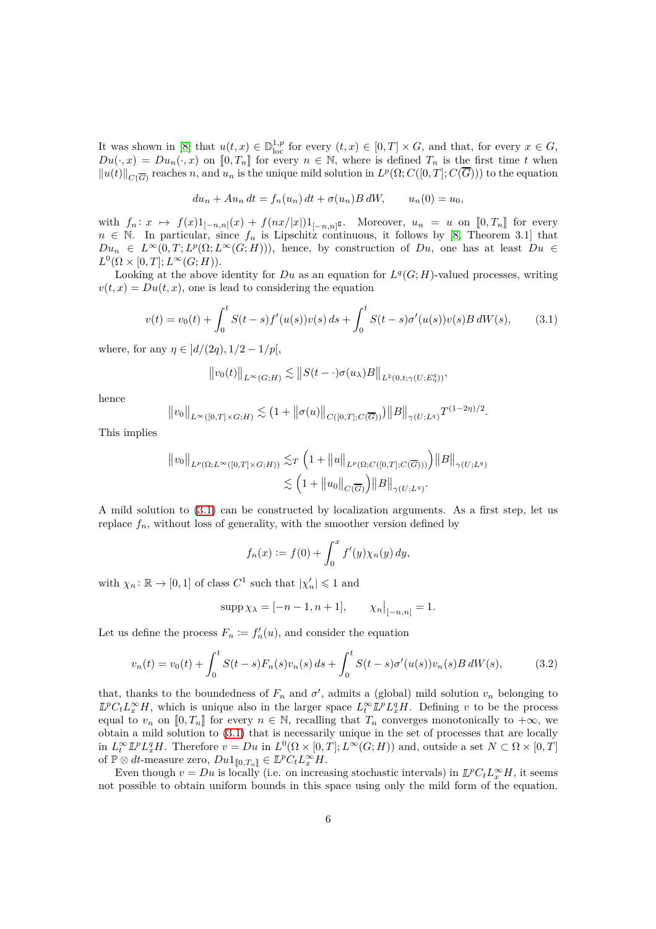It was shown in [\[8\]](#page-17-0) that  $u(t, x) \in \mathbb{D}_{\text{loc}}^{1,p}$  for every  $(t, x) \in [0, T] \times G$ , and that, for every  $x \in G$ ,  $Du(\cdot,x) = Du_n(\cdot,x)$  on  $[0,T_n]$  for every  $n \in \mathbb{N}$ , where is defined  $T_n$  is the first time *t* when  $||u(t)||_{C(\overline{G})}$  reaches *n*, and  $u_n$  is the unique mild solution in  $L^p(\Omega; C([0,T]; C(\overline{G})))$  to the equation

$$
du_n + Au_n dt = f_n(u_n) dt + \sigma(u_n) B dW, \qquad u_n(0) = u_0,
$$

with  $f_n: x \mapsto f(x)1_{[-n,n]}(x) + f(nx/|x|)1_{[-n,n]}e$ . Moreover,  $u_n = u$  on  $[0, T_n]$  for every  $n \in \mathbb{N}$ . In particular, since  $f_n$  is Lipschitz continuous, it follows by [\[8,](#page-17-0) Theorem 3.1] that  $Du_n \in L^{\infty}(0,T; L^p(\Omega; L^{\infty}(G; H)))$ , hence, by construction of *Du*, one has at least  $Du \in$  $L^0(\Omega \times [0,T]; L^\infty(G;H)).$ 

Looking at the above identity for  $Du$  as an equation for  $L^q(G;H)$ -valued processes, writing  $v(t, x) = Du(t, x)$ , one is lead to considering the equation

<span id="page-5-0"></span>
$$
v(t) = v_0(t) + \int_0^t S(t - s) f'(u(s)) v(s) ds + \int_0^t S(t - s) \sigma'(u(s)) v(s) B dW(s), \quad (3.1)
$$

where, for any  $\eta \in |d/(2q), 1/2 - 1/p|$ ,

$$
||v_0(t)||_{L^{\infty}(G;H)} \lesssim ||S(t-\cdot)\sigma(u_\lambda)B||_{L^2(0,t;\gamma(U;E^q_\eta))},
$$

hence

$$
||v_0||_{L^{\infty}([0,T]\times G;H)} \lesssim (1+||\sigma(u)||_{C([0,T];C(\overline{G}))})||B||_{\gamma(U;L^q)}T^{(1-2\eta)/2}.
$$

This implies

$$
\|v_0\|_{L^p(\Omega;L^\infty([0,T]\times G;H))} \lesssim_T \left(1 + \|u\|_{L^p(\Omega;C([0,T];C(\overline{G})))}\right) \|B\|_{\gamma(U;L^q)}
$$
  

$$
\lesssim \left(1 + \|u_0\|_{C(\overline{G})}\right) \|B\|_{\gamma(U;L^q)}.
$$

A mild solution to [\(3.1\)](#page-5-0) can be constructed by localization arguments. As a first step, let us replace  $f_n$ , without loss of generality, with the smoother version defined by

$$
f_n(x) := f(0) + \int_0^x f'(y) \chi_n(y) \, dy,
$$

with  $\chi_n : \mathbb{R} \to [0, 1]$  of class  $C^1$  such that  $|\chi'_n| \leq 1$  and

$$
supp \chi_{\lambda} = [-n-1, n+1], \qquad \chi_n|_{[-n,n]} = 1.
$$

Let us define the process  $F_n := f'_n(u)$ , and consider the equation

$$
v_n(t) = v_0(t) + \int_0^t S(t-s)F_n(s)v_n(s) ds + \int_0^t S(t-s)\sigma'(u(s))v_n(s)B dW(s), \tag{3.2}
$$

that, thanks to the boundedness of  $F_n$  and  $\sigma'$ , admits a (global) mild solution  $v_n$  belonging to  $\mathbb{L}^p C_t L_x^{\infty} H$ , which is unique also in the larger space  $L_t^{\infty} \mathbb{L}^p L_x^q H$ . Defining *v* to be the process equal to  $v_n$  on  $[0, T_n]$  for every  $n \in \mathbb{N}$ , recalling that  $T_n$  converges monotonically to  $+\infty$ , we obtain a mild solution to [\(3.1\)](#page-5-0) that is necessarily unique in the set of processes that are locally in  $L_t^{\infty} \mathbb{L}^p L_x^q H$ . Therefore  $v = Du$  in  $L^0(\Omega \times [0,T]; L^{\infty}(G;H))$  and, outside a set  $N \subset \Omega \times [0,T]$  $\text{of } \mathbb{P} \otimes dt\text{-measure zero}, D u1_{[\![0,T_n]\!]} \in \mathbb{L}^p C_t L_x^{\infty} H.$ 

Even though  $v = Du$  is locally (i.e. on increasing stochastic intervals) in  $\mathbb{L}^p C_t L_x^{\infty} H$ , it seems not possible to obtain uniform bounds in this space using only the mild form of the equation.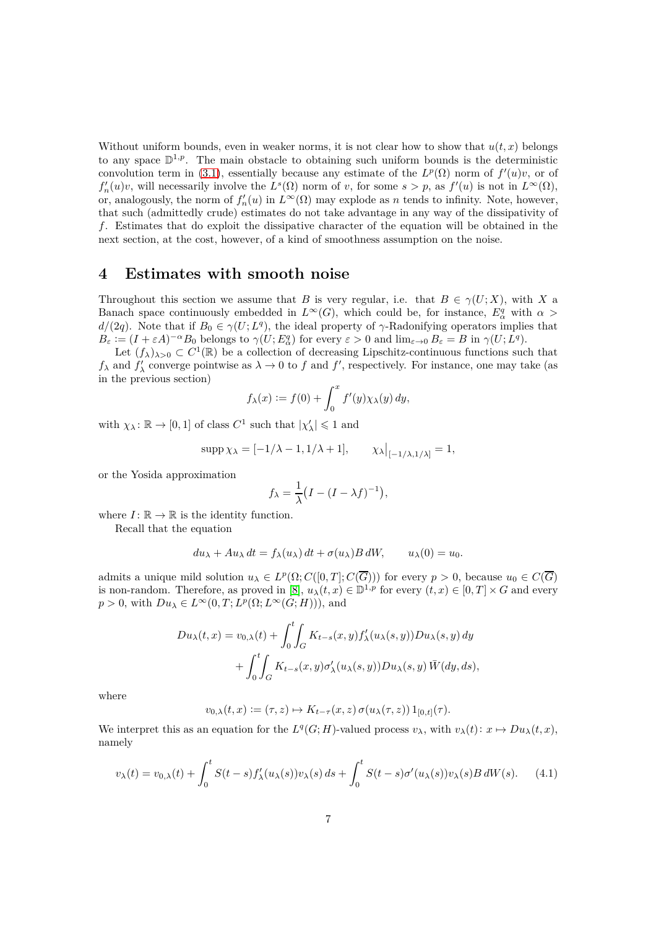Without uniform bounds, even in weaker norms, it is not clear how to show that  $u(t, x)$  belongs to any space  $\mathbb{D}^{1,p}$ . The main obstacle to obtaining such uniform bounds is the deterministic convolution term in [\(3.1\)](#page-5-0), essentially because any estimate of the  $L^p(\Omega)$  norm of  $f'(u)v$ , or of  $f'_{n}(u)v$ , will necessarily involve the  $L^{s}(\Omega)$  norm of *v*, for some  $s > p$ , as  $f'(u)$  is not in  $L^{\infty}(\Omega)$ , or, analogously, the norm of  $f'_n(u)$  in  $L^\infty(\Omega)$  may explode as *n* tends to infinity. Note, however, that such (admittedly crude) estimates do not take advantage in any way of the dissipativity of *f*. Estimates that do exploit the dissipative character of the equation will be obtained in the next section, at the cost, however, of a kind of smoothness assumption on the noise.

### **4 Estimates with smooth noise**

Throughout this section we assume that *B* is very regular, i.e. that  $B \in \gamma(U; X)$ , with *X* a Banach space continuously embedded in  $L^{\infty}(G)$ , which could be, for instance,  $E^q_\alpha$  with  $\alpha >$  $d/(2q)$ . Note that if  $B_0 \in \gamma(U; L^q)$ , the ideal property of *γ*-Radonifying operators implies that  $B_{\varepsilon} := (I + \varepsilon A)^{-\alpha} B_0$  belongs to  $\gamma(U; E^q_\alpha)$  for every  $\varepsilon > 0$  and  $\lim_{\varepsilon \to 0} B_{\varepsilon} = B$  in  $\gamma(U; L^q)$ .

Let  $(f_\lambda)_{\lambda>0} \subset C^1(\mathbb{R})$  be a collection of decreasing Lipschitz-continuous functions such that  $f_{\lambda}$  and  $f'_{\lambda}$  converge pointwise as  $\lambda \to 0$  to  $f$  and  $f'$ , respectively. For instance, one may take (as in the previous section)

$$
f_{\lambda}(x) := f(0) + \int_0^x f'(y) \chi_{\lambda}(y) dy,
$$

with  $\chi_{\lambda} \colon \mathbb{R} \to [0, 1]$  of class  $C^1$  such that  $|\chi'_{\lambda}| \leq 1$  and

$$
\operatorname{supp} \chi_{\lambda} = [-1/\lambda - 1, 1/\lambda + 1], \qquad \chi_{\lambda}|_{[-1/\lambda, 1/\lambda]} = 1,
$$

or the Yosida approximation

$$
f_{\lambda} = \frac{1}{\lambda} \big( I - (I - \lambda f)^{-1} \big),
$$

where  $I: \mathbb{R} \to \mathbb{R}$  is the identity function.

Recall that the equation

$$
du_{\lambda} + Au_{\lambda} dt = f_{\lambda}(u_{\lambda}) dt + \sigma(u_{\lambda}) B dW, \qquad u_{\lambda}(0) = u_0.
$$

admits a unique mild solution  $u_{\lambda} \in L^p(\Omega; C([0,T]; C(\overline{G})))$  for every  $p > 0$ , because  $u_0 \in C(\overline{G})$ is non-random. Therefore, as proved in [\[8\]](#page-17-0),  $u_\lambda(t,x) \in \mathbb{D}^{1,p}$  for every  $(t,x) \in [0,T] \times G$  and every  $p > 0$ , with  $Du_{\lambda} \in L^{\infty}(0, T; L^{p}(\Omega; L^{\infty}(G; H))),$  and

$$
Du_{\lambda}(t,x) = v_{0,\lambda}(t) + \int_0^t \int_G K_{t-s}(x,y) f'_{\lambda}(u_{\lambda}(s,y)) Du_{\lambda}(s,y) dy
$$
  
+ 
$$
\int_0^t \int_G K_{t-s}(x,y) \sigma'_{\lambda}(u_{\lambda}(s,y)) Du_{\lambda}(s,y) \overline{W}(dy, ds),
$$

where

$$
v_{0,\lambda}(t,x):=(\tau,z)\mapsto K_{t-\tau}(x,z)\,\sigma(u_\lambda(\tau,z))\,\mathbf{1}_{[0,t]}(\tau).
$$

We interpret this as an equation for the  $L^q(G; H)$ -valued process  $v_\lambda$ , with  $v_\lambda(t): x \mapsto Du_\lambda(t, x)$ , namely

<span id="page-6-0"></span>
$$
v_{\lambda}(t) = v_{0,\lambda}(t) + \int_0^t S(t-s)f'_{\lambda}(u_{\lambda}(s))v_{\lambda}(s) ds + \int_0^t S(t-s)\sigma'(u_{\lambda}(s))v_{\lambda}(s)B dW(s).
$$
 (4.1)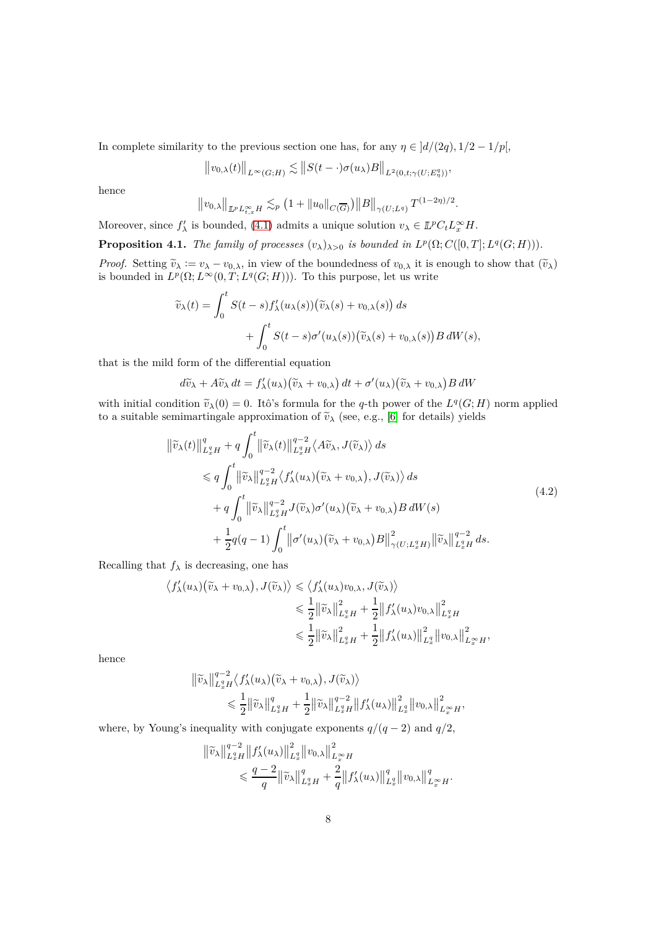In complete similarity to the previous section one has, for any  $\eta \in ]d/(2q), 1/2 - 1/p[$ ,

$$
||v_{0,\lambda}(t)||_{L^{\infty}(G;H)} \lesssim ||S(t-\cdot)\sigma(u_{\lambda})B||_{L^{2}(0,t;\gamma(U;E^{q}_{\eta}))},
$$

hence

$$
||v_{0,\lambda}||_{L^p L_{t,x}^{\infty} H} \lesssim_p (1 + ||u_0||_{C(\overline{G})}) ||B||_{\gamma(U;L^q)} T^{(1-2\eta)/2}
$$

*.*

Moreover, since  $f'_{\lambda}$  is bounded, [\(4.1\)](#page-6-0) admits a unique solution  $v_{\lambda} \in \mathbb{L}^p C_t L_x^{\infty} H$ .

<span id="page-7-1"></span>**Proposition 4.1.** *The family of processes*  $(v_\lambda)_{\lambda>0}$  *is bounded in*  $L^p(\Omega; C([0, T]; L^q(G; H)))$ *.* 

*Proof.* Setting  $\tilde{v}_{\lambda} := v_{\lambda} - v_{0,\lambda}$ , in view of the boundedness of  $v_{0,\lambda}$  it is enough to show that  $(\tilde{v}_{\lambda})$ is bounded in  $L^p(\Omega; L^\infty(0,T; L^q(G;H)))$ . To this purpose, let us write

$$
\widetilde{v}_{\lambda}(t) = \int_0^t S(t-s) f'_{\lambda}(u_{\lambda}(s)) (\widetilde{v}_{\lambda}(s) + v_{0,\lambda}(s)) ds \n+ \int_0^t S(t-s) \sigma'(u_{\lambda}(s)) (\widetilde{v}_{\lambda}(s) + v_{0,\lambda}(s)) B dW(s),
$$

that is the mild form of the differential equation

$$
d\widetilde{v}_{\lambda} + A\widetilde{v}_{\lambda} dt = f'_{\lambda}(u_{\lambda}) (\widetilde{v}_{\lambda} + v_{0,\lambda}) dt + \sigma'(u_{\lambda}) (\widetilde{v}_{\lambda} + v_{0,\lambda}) B dW
$$

with initial condition  $\widetilde{v}_\lambda(0) = 0$ . Itô's formula for the *q*-th power of the  $L^q(G; H)$  norm applied to a suitable semimartingale approximation of  $\tilde{v}_{\lambda}$  (see, e.g., [\[6\]](#page-17-10) for details) yields

$$
\begin{split}\n\left\|\tilde{v}_{\lambda}(t)\right\|_{L_{x}^{q}H}^{q} + q \int_{0}^{t} \left\|\tilde{v}_{\lambda}(t)\right\|_{L_{x}^{q}H}^{q-2} \left\langle A\tilde{v}_{\lambda}, J(\tilde{v}_{\lambda}) \right\rangle ds \\
&\leqslant q \int_{0}^{t} \left\|\tilde{v}_{\lambda}\right\|_{L_{x}^{q}H}^{q-2} \left\langle f_{\lambda}'(u_{\lambda})(\tilde{v}_{\lambda} + v_{0,\lambda}), J(\tilde{v}_{\lambda}) \right\rangle ds \\
&\quad + q \int_{0}^{t} \left\|\tilde{v}_{\lambda}\right\|_{L_{x}^{q}H}^{q-2} J(\tilde{v}_{\lambda})\sigma'(u_{\lambda})(\tilde{v}_{\lambda} + v_{0,\lambda})B dW(s) \\
&\quad + \frac{1}{2} q(q-1) \int_{0}^{t} \left\|\sigma'(u_{\lambda})(\tilde{v}_{\lambda} + v_{0,\lambda})B\right\|_{\gamma(U;L_{x}^{q}H)}^{2} \left\|\tilde{v}_{\lambda}\right\|_{L_{x}^{q}H}^{q-2} ds.\n\end{split} \tag{4.2}
$$

<span id="page-7-0"></span>Recalling that  $f_{\lambda}$  is decreasing, one has

$$
\langle f'_{\lambda}(u_{\lambda})(\widetilde{v}_{\lambda}+v_{0,\lambda}), J(\widetilde{v}_{\lambda})\rangle \leq \langle f'_{\lambda}(u_{\lambda})v_{0,\lambda}, J(\widetilde{v}_{\lambda})\rangle
$$
  

$$
\leq \frac{1}{2} \|\widetilde{v}_{\lambda}\|_{L_x^q H}^2 + \frac{1}{2} \|f'_{\lambda}(u_{\lambda})v_{0,\lambda}\|_{L_x^q H}^2
$$
  

$$
\leq \frac{1}{2} \|\widetilde{v}_{\lambda}\|_{L_x^q H}^2 + \frac{1}{2} \|f'_{\lambda}(u_{\lambda})\|_{L_x^q}^2 \|v_{0,\lambda}\|_{L_x^{\infty} H}^2,
$$

hence

$$
\begin{split} \left\| \widetilde{v}_{\lambda} \right\|_{L_{x}^{q}H}^{q-2} \left\langle f'_{\lambda}(u_{\lambda}) \big( \widetilde{v}_{\lambda} + v_{0,\lambda} \big), J(\widetilde{v}_{\lambda}) \right\rangle \\ &\leqslant \frac{1}{2} \left\| \widetilde{v}_{\lambda} \right\|_{L_{x}^{q}H}^{q} + \frac{1}{2} \left\| \widetilde{v}_{\lambda} \right\|_{L_{x}^{q}H}^{q-2} \left\| f'_{\lambda}(u_{\lambda}) \right\|_{L_{x}^{q}}^{2} \left\| v_{0,\lambda} \right\|_{L_{x}^{\infty}H}^{2}, \end{split}
$$

where, by Young's inequality with conjugate exponents  $q/(q-2)$  and  $q/2$ ,

$$
\|\widetilde{v}_{\lambda}\|_{L_x^q H}^{q-2} \|f_{\lambda}'(u_{\lambda})\|_{L_x^q}^2 \|v_{0,\lambda}\|_{L_x^\infty H}^2 \n\leq \frac{q-2}{q} \|\widetilde{v}_{\lambda}\|_{L_x^q H}^q + \frac{2}{q} \|f_{\lambda}'(u_{\lambda})\|_{L_x^q}^q \|v_{0,\lambda}\|_{L_x^\infty H}^q.
$$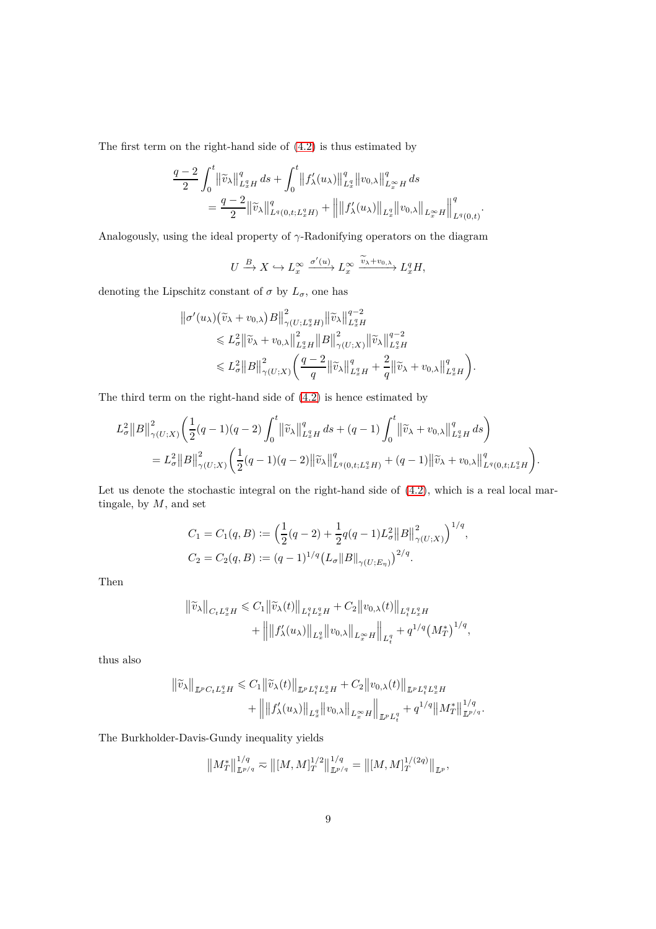The first term on the right-hand side of [\(4.2\)](#page-7-0) is thus estimated by

$$
\label{eq:2.1} \begin{split} \frac{q-2}{2}\int_0^t & \left\|\widetilde{v}_{\lambda}\right\|_{L^q_xH}^q\,ds+\int_0^t \left\|f_{\lambda}'(u_{\lambda})\right\|_{L^q_x}^q\left\|v_{0,\lambda}\right\|_{L^\infty_xH}^q\,ds\\ & \qquad = \frac{q-2}{2}\|\widetilde{v}_{\lambda}\|_{L^q(0,t;L^q_xH)}^q+\left\|\left\|f_{\lambda}'(u_{\lambda})\right\|_{L^q_x}\left\|v_{0,\lambda}\right\|_{L^\infty_xH}\right\|_{L^q(0,t)}^q. \end{split}
$$

Analogously, using the ideal property of *γ*-Radonifying operators on the diagram

$$
U \xrightarrow{B} X \hookrightarrow L_x^{\infty} \xrightarrow{\sigma'(u)} L_x^{\infty} \xrightarrow{\widetilde{v}_{\lambda} + v_{0,\lambda}} L_x^q H,
$$

denoting the Lipschitz constant of  $\sigma$  by  $L_{\sigma}$ , one has

$$
\|\sigma'(u_{\lambda})(\widetilde{v}_{\lambda}+v_{0,\lambda})B\|_{\gamma(U;L_x^q H)}^2 \|\widetilde{v}_{\lambda}\|_{L_x^q H}^{q-2} \n\leq L_{\sigma}^2 \|\widetilde{v}_{\lambda}+v_{0,\lambda}\|_{L_x^q H}^2 \|B\|_{\gamma(U;X)}^2 \|\widetilde{v}_{\lambda}\|_{L_x^q H}^{q-2} \n\leq L_{\sigma}^2 \|B\|_{\gamma(U;X)}^2 \left(\frac{q-2}{q} \|\widetilde{v}_{\lambda}\|_{L_x^q H}^q + \frac{2}{q} \|\widetilde{v}_{\lambda}+v_{0,\lambda}\|_{L_x^q H}^q\right).
$$

The third term on the right-hand side of [\(4.2\)](#page-7-0) is hence estimated by

$$
L_{\sigma}^{2}||B||_{\gamma(U;X)}^{2}\left(\frac{1}{2}(q-1)(q-2)\int_{0}^{t} ||\widetilde{v}_{\lambda}||_{L_{x}^{q}H}^{q} ds + (q-1)\int_{0}^{t} ||\widetilde{v}_{\lambda} + v_{0,\lambda}||_{L_{x}^{q}H}^{q} ds\right)
$$
  
=  $L_{\sigma}^{2}||B||_{\gamma(U;X)}^{2}\left(\frac{1}{2}(q-1)(q-2)||\widetilde{v}_{\lambda}||_{L_{x}(0,t;L_{x}^{q}H)}^{q} + (q-1)||\widetilde{v}_{\lambda} + v_{0,\lambda}||_{L_{x}(0,t;L_{x}^{q}H)}^{q}\right).$ 

Let us denote the stochastic integral on the right-hand side of  $(4.2)$ , which is a real local martingale, by *M*, and set

$$
C_1 = C_1(q, B) := \left(\frac{1}{2}(q - 2) + \frac{1}{2}q(q - 1)L_{\sigma}^2 ||B||_{\gamma(U;X)}^2\right)^{1/q},
$$
  
\n
$$
C_2 = C_2(q, B) := (q - 1)^{1/q} \left(L_{\sigma} ||B||_{\gamma(U;E_{\eta})}\right)^{2/q}.
$$

Then

$$
\begin{aligned} \left\| \widetilde{v}_{\lambda} \right\|_{C_t L_x^q H} &\leqslant C_1 \left\| \widetilde{v}_{\lambda}(t) \right\|_{L_t^q L_x^q H} + C_2 \left\| v_{0,\lambda}(t) \right\|_{L_t^q L_x^q H} \\ &\quad + \left\| \left\| f'_{\lambda}(u_{\lambda}) \right\|_{L_x^q} \left\| v_{0,\lambda} \right\|_{L_x^{\infty} H} \right\|_{L_t^q} + q^{1/q} \left( M_T^* \right)^{1/q}, \end{aligned}
$$

thus also

$$
\|\widetilde{v}_{\lambda}\|_{\mathbb{L}^p C_t L^q_x H} \leq C_1 \|\widetilde{v}_{\lambda}(t)\|_{\mathbb{L}^p L^q_t L^q_x H} + C_2 \|v_{0,\lambda}(t)\|_{\mathbb{L}^p L^q_t L^q_x H} + \left\| \|f'_{\lambda}(u_{\lambda})\|_{L^q_x} \|v_{0,\lambda}\|_{L^\infty_x H} \right\|_{\mathbb{L}^p L^q_t} + q^{1/q} \|M^*_T\|_{\mathbb{L}^{p/q}}^{1/q}.
$$

The Burkholder-Davis-Gundy inequality yields

$$
||M_T^*||_{L^{p/q}}^{1/q} \nabla ||[M,M]_T^{1/2}||_{L^{p/q}}^{1/q} = ||[M,M]_T^{1/(2q)}||_{L^p},
$$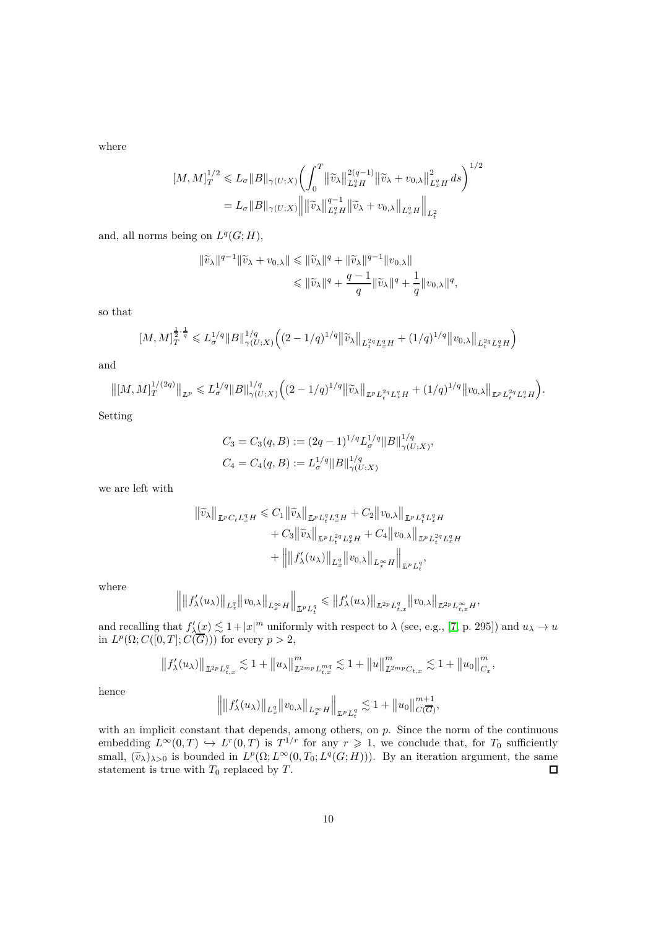where

$$
[M,M]_T^{1/2} \leq L_{\sigma} ||B||_{\gamma(U;X)} \left( \int_0^T ||\widetilde{v}_{\lambda}||_{L_x^q H}^{2(q-1)} ||\widetilde{v}_{\lambda} + v_{0,\lambda}||_{L_x^q H}^2 ds \right)^{1/2}
$$
  
=  $L_{\sigma} ||B||_{\gamma(U;X)} || ||\widetilde{v}_{\lambda}||_{L_x^q H}^{q-1} ||\widetilde{v}_{\lambda} + v_{0,\lambda}||_{L_x^q H} ||_{L_t^2}$ 

and, all norms being on  $L^q(G;H)$ ,

$$
\begin{aligned} \|\widetilde{v}_{\lambda}\|^{q-1}\|\widetilde{v}_{\lambda}+v_{0,\lambda}\|&\leqslant \|\widetilde{v}_{\lambda}\|^{q}+\|\widetilde{v}_{\lambda}\|^{q-1}\|v_{0,\lambda}\|\\&\leqslant \|\widetilde{v}_{\lambda}\|^{q}+\frac{q-1}{q}\|\widetilde{v}_{\lambda}\|^{q}+\frac{1}{q}\|v_{0,\lambda}\|^{q}, \end{aligned}
$$

so that

$$
[M,M]_T^{\frac{1}{2}\cdot\frac{1}{q}}\leqslant L_{\sigma}^{1/q}\|B\|_{\gamma(U;X)}^{1/q}\Big((2-1/q)^{1/q}\big\|\widetilde{v}_{\lambda}\big\|_{L_{t}^{2q}L_{x}^{q}H}+(1/q)^{1/q}\big\|v_{0,\lambda}\big\|_{L_{t}^{2q}L_{x}^{q}H}\Big)
$$

and

$$
\left\|[M,M]_T^{1/(2q)}\right\|_{L^p}\leqslant L^{1/q}_\sigma\|B\|_{\gamma(U;X)}^{1/q}\Big((2-1/q)^{1/q}\big\|\widetilde{v}_\lambda\big\|_{L^pL^{2q}_tL^q_xH}+(1/q)^{1/q}\big\|v_{0,\lambda}\big\|_{L^pL^{2q}_tL^q_xH}\Big).
$$

Setting

$$
C_3 = C_3(q, B) := (2q - 1)^{1/q} L_{\sigma}^{1/q} ||B||_{\gamma(U;X)}^{1/q},
$$
  
\n
$$
C_4 = C_4(q, B) := L_{\sigma}^{1/q} ||B||_{\gamma(U;X)}^{1/q},
$$

we are left with

$$
\begin{aligned} \|\widetilde{v}_{\lambda}\|_{\mathbb{L}^{p}C_{t}L_{x}^{q}H} &\leq C_{1}\|\widetilde{v}_{\lambda}\|_{\mathbb{L}^{p}L_{t}^{q}L_{x}^{q}H} + C_{2}\|v_{0,\lambda}\|_{\mathbb{L}^{p}L_{t}^{q}L_{x}^{q}H} \\ &+ C_{3}\|\widetilde{v}_{\lambda}\|_{\mathbb{L}^{p}L_{t}^{2q}L_{x}^{q}H} + C_{4}\|v_{0,\lambda}\|_{\mathbb{L}^{p}L_{t}^{2q}L_{x}^{q}H} \\ &+ \left\|\|f_{\lambda}'(u_{\lambda})\|_{L_{x}^{q}}\|v_{0,\lambda}\|_{L_{x}^{\infty}H}\right\|_{\mathbb{L}^{p}L_{t}^{q}}, \end{aligned}
$$

where

$$
\left\||f'_{\lambda}(u_{\lambda})\right\|_{L_{x}^{q}}\|v_{0,\lambda}\|_{L_{x}^{\infty}H}\right\|_{\mathbb{L}^{p}L_{t}^{q}} \leqslant \|f'_{\lambda}(u_{\lambda})\|_{\mathbb{L}^{2p}L_{t,x}^{q}}\|v_{0,\lambda}\|_{\mathbb{L}^{2p}L_{t,x}^{\infty}H},
$$

and recalling that  $f'_\lambda(x) \lesssim 1 + |x|^m$  uniformly with respect to  $\lambda$  (see, e.g., [\[7,](#page-17-1) p. 295]) and  $u_\lambda \to u$ in  $L^p(\Omega; C([0,T]; C(\overline{G})))$  for every  $p > 2$ ,

$$
||f'_{\lambda}(u_{\lambda})||_{L^{2p}L_{t,x}^q} \lesssim 1 + ||u_{\lambda}||_{L^{2mp}L_{t,x}^{mq}}^m \lesssim 1 + ||u||_{L^{2mp}C_{t,x}}^m \lesssim 1 + ||u_0||_{C_x}^m,
$$

hence

$$
\Big\|\big\|f_\lambda'(u_\lambda)\big\|_{L^q_x}\big\|v_{0,\lambda}\big\|_{L^\infty_x H}\Big\|_{\mathbb L^p L^q_t}\lesssim 1+\big\|u_0\big\|_{C(\overline{G})}^{m+1},
$$

with an implicit constant that depends, among others, on *p*. Since the norm of the continuous embedding  $L^{\infty}(0,T) \hookrightarrow L^{r}(0,T)$  is  $T^{1/r}$  for any  $r \geq 1$ , we conclude that, for  $T_0$  sufficiently small,  $(\tilde{v}_\lambda)_{\lambda>0}$  is bounded in  $L^p(\Omega; L^\infty(0,T_0; L^q(G;H)))$ . By an iteration argument, the same statement is true with  $T_0$  replaced by  $T$ .  $\Box$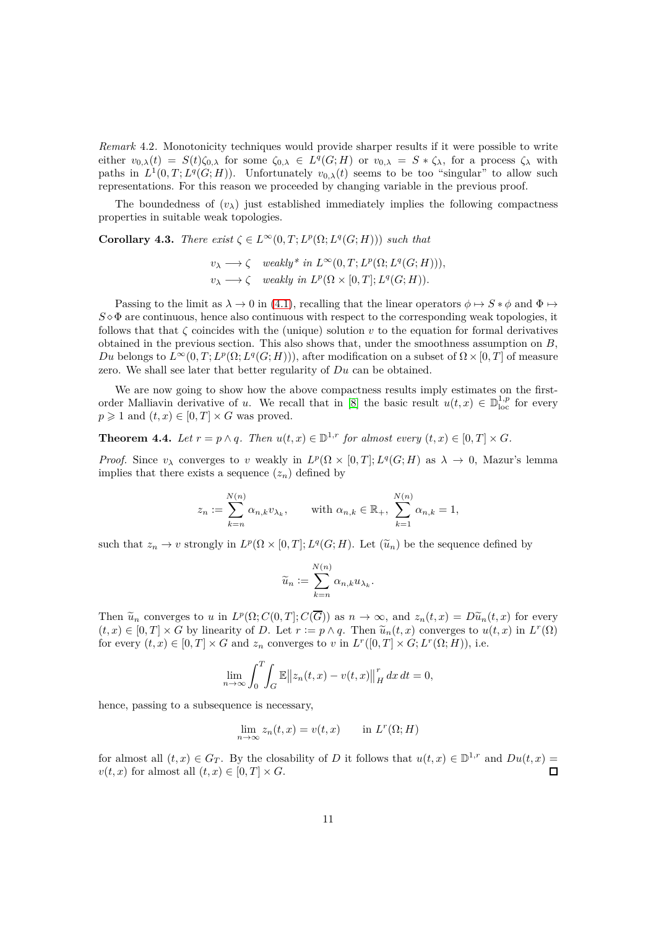*Remark* 4.2*.* Monotonicity techniques would provide sharper results if it were possible to write either  $v_{0,\lambda}(t) = S(t)\zeta_{0,\lambda}$  for some  $\zeta_{0,\lambda} \in L^q(G;H)$  or  $v_{0,\lambda} = S * \zeta_{\lambda}$ , for a process  $\zeta_{\lambda}$  with paths in  $L^1(0,T;L^q(G;H))$ . Unfortunately  $v_{0,\lambda}(t)$  seems to be too "singular" to allow such representations. For this reason we proceeded by changing variable in the previous proof.

The boundedness of  $(v_\lambda)$  just established immediately implies the following compactness properties in suitable weak topologies.

**Corollary 4.3.** *There exist*  $\zeta \in L^{\infty}(0,T; L^{p}(\Omega; L^{q}(G; H)))$  *such that* 

$$
v_{\lambda} \longrightarrow \zeta \quad weakly^* \ in \ L^{\infty}(0,T; L^p(\Omega; L^q(G;H))),
$$
  

$$
v_{\lambda} \longrightarrow \zeta \quad weakly \ in \ L^p(\Omega \times [0,T]; L^q(G;H)).
$$

Passing to the limit as  $\lambda \to 0$  in [\(4.1\)](#page-6-0), recalling that the linear operators  $\phi \mapsto S * \phi$  and  $\Phi \mapsto$  $S \diamond \Phi$  are continuous, hence also continuous with respect to the corresponding weak topologies, it follows that that  $\zeta$  coincides with the (unique) solution  $v$  to the equation for formal derivatives obtained in the previous section. This also shows that, under the smoothness assumption on *B*, *Du* belongs to  $L^{\infty}(0,T; L^p(\Omega; L^q(G; H))),$  after modification on a subset of  $\Omega \times [0,T]$  of measure zero. We shall see later that better regularity of *Du* can be obtained.

We are now going to show how the above compactness results imply estimates on the firstorder Malliavin derivative of *u*. We recall that in [\[8\]](#page-17-0) the basic result  $u(t,x) \in \mathbb{D}_{\text{loc}}^{1,p}$  for every  $p \geq 1$  and  $(t, x) \in [0, T] \times G$  was proved.

### **Theorem 4.4.** *Let*  $r = p \land q$ *. Then*  $u(t, x) \in \mathbb{D}^{1,r}$  *for almost every*  $(t, x) \in [0, T] \times G$ *.*

*Proof.* Since  $v_{\lambda}$  converges to *v* weakly in  $L^p(\Omega \times [0,T]; L^q(G;H)$  as  $\lambda \to 0$ , Mazur's lemma implies that there exists a sequence  $(z_n)$  defined by

$$
z_n := \sum_{k=n}^{N(n)} \alpha_{n,k} v_{\lambda_k}, \quad \text{with } \alpha_{n,k} \in \mathbb{R}_+, \sum_{k=1}^{N(n)} \alpha_{n,k} = 1,
$$

such that  $z_n \to v$  strongly in  $L^p(\Omega \times [0,T]; L^q(G;H)$ . Let  $(\tilde{u}_n)$  be the sequence defined by

$$
\widetilde{u}_n := \sum_{k=n}^{N(n)} \alpha_{n,k} u_{\lambda_k}.
$$

Then  $\tilde{u}_n$  converges to *u* in  $L^p(\Omega; C(0,T]; C(\overline{G}))$  as  $n \to \infty$ , and  $z_n(t,x) = D\tilde{u}_n(t,x)$  for every  $(t, x) \in [0, T] \times G$  by linearity of *D*. Let  $r := p \wedge q$ . Then  $\tilde{u}_n(t, x)$  converges to  $u(t, x)$  in  $L^r(\Omega)$ for every  $(t, x) \in [0, T] \times G$  and  $z_n$  converges to *v* in  $L^r([0, T] \times G; L^r(\Omega; H))$ , i.e.

$$
\lim_{n \to \infty} \int_0^T \int_G \mathbb{E} \|z_n(t,x) - v(t,x)\|_H^r dx dt = 0,
$$

hence, passing to a subsequence is necessary,

$$
\lim_{n \to \infty} z_n(t, x) = v(t, x) \quad \text{in } L^r(\Omega; H)
$$

for almost all  $(t, x) \in G_T$ . By the closability of *D* it follows that  $u(t, x) \in \mathbb{D}^{1,r}$  and  $Du(t, x) =$  $v(t, x)$  for almost all  $(t, x) \in [0, T] \times G$ .  $\Box$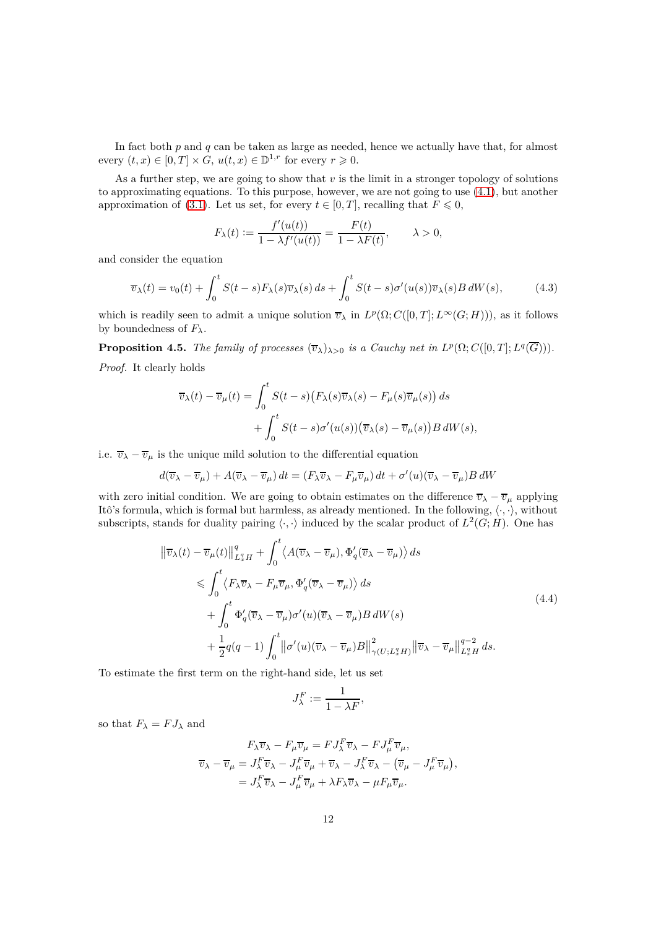In fact both *p* and *q* can be taken as large as needed, hence we actually have that, for almost every  $(t, x) \in [0, T] \times G$ ,  $u(t, x) \in \mathbb{D}^{1,r}$  for every  $r \geq 0$ .

As a further step, we are going to show that  $v$  is the limit in a stronger topology of solutions to approximating equations. To this purpose, however, we are not going to use [\(4.1\)](#page-6-0), but another approximation of [\(3.1\)](#page-5-0). Let us set, for every  $t \in [0, T]$ , recalling that  $F \leq 0$ ,

$$
F_{\lambda}(t) := \frac{f'(u(t))}{1 - \lambda f'(u(t))} = \frac{F(t)}{1 - \lambda F(t)}, \qquad \lambda > 0,
$$

and consider the equation

<span id="page-11-1"></span>
$$
\overline{v}_{\lambda}(t) = v_0(t) + \int_0^t S(t-s) F_{\lambda}(s) \overline{v}_{\lambda}(s) ds + \int_0^t S(t-s) \sigma'(u(s)) \overline{v}_{\lambda}(s) B dW(s), \tag{4.3}
$$

which is readily seen to admit a unique solution  $\overline{v}_{\lambda}$  in  $L^p(\Omega; C([0, T]; L^{\infty}(G; H))),$  as it follows by boundedness of  $F_{\lambda}$ .

**Proposition 4.5.** *The family of processes*  $(\overline{v}_{\lambda})_{\lambda>0}$  *is a Cauchy net in*  $L^p(\Omega; C([0, T]; L^q(\overline{G})))$ *. Proof.* It clearly holds

$$
\overline{v}_{\lambda}(t) - \overline{v}_{\mu}(t) = \int_0^t S(t - s) \big( F_{\lambda}(s) \overline{v}_{\lambda}(s) - F_{\mu}(s) \overline{v}_{\mu}(s) \big) ds + \int_0^t S(t - s) \sigma'(u(s)) \big( \overline{v}_{\lambda}(s) - \overline{v}_{\mu}(s) \big) B dW(s),
$$

i.e.  $\overline{v}_{\lambda} - \overline{v}_{\mu}$  is the unique mild solution to the differential equation

$$
d(\overline{v}_{\lambda} - \overline{v}_{\mu}) + A(\overline{v}_{\lambda} - \overline{v}_{\mu}) dt = (F_{\lambda} \overline{v}_{\lambda} - F_{\mu} \overline{v}_{\mu}) dt + \sigma'(u)(\overline{v}_{\lambda} - \overline{v}_{\mu}) B dW
$$

with zero initial condition. We are going to obtain estimates on the difference  $\overline{v}_\lambda - \overline{v}_\mu$  applying Itô's formula, which is formal but harmless, as already mentioned. In the following,  $\langle \cdot, \cdot \rangle$ , without subscripts, stands for duality pairing  $\langle \cdot, \cdot \rangle$  induced by the scalar product of  $L^2(G; H)$ . One has

$$
\|\overline{v}_{\lambda}(t) - \overline{v}_{\mu}(t)\|_{L_x^q H}^q + \int_0^t \langle A(\overline{v}_{\lambda} - \overline{v}_{\mu}), \Phi'_q(\overline{v}_{\lambda} - \overline{v}_{\mu}) \rangle ds
$$
\n
$$
\leqslant \int_0^t \langle F_{\lambda} \overline{v}_{\lambda} - F_{\mu} \overline{v}_{\mu}, \Phi'_q(\overline{v}_{\lambda} - \overline{v}_{\mu}) \rangle ds
$$
\n
$$
+ \int_0^t \Phi'_q(\overline{v}_{\lambda} - \overline{v}_{\mu}) \sigma'(u)(\overline{v}_{\lambda} - \overline{v}_{\mu}) B dW(s)
$$
\n
$$
+ \frac{1}{2} q(q-1) \int_0^t \left\| \sigma'(u)(\overline{v}_{\lambda} - \overline{v}_{\mu}) B \right\|_{\gamma(U;L_x^q H)}^2 \left\| \overline{v}_{\lambda} - \overline{v}_{\mu} \right\|_{L_x^q H}^{q-2} ds.
$$
\n
$$
(4.4)
$$

<span id="page-11-0"></span>To estimate the first term on the right-hand side, let us set

$$
J^F_\lambda := \frac{1}{1 - \lambda F},
$$

so that  $F_{\lambda} = FJ_{\lambda}$  and

$$
F_{\lambda}\overline{v}_{\lambda} - F_{\mu}\overline{v}_{\mu} = FJ_{\lambda}^{F}\overline{v}_{\lambda} - FJ_{\mu}^{F}\overline{v}_{\mu},
$$
  

$$
\overline{v}_{\lambda} - \overline{v}_{\mu} = J_{\lambda}^{F}\overline{v}_{\lambda} - J_{\mu}^{F}\overline{v}_{\mu} + \overline{v}_{\lambda} - J_{\lambda}^{F}\overline{v}_{\lambda} - (\overline{v}_{\mu} - J_{\mu}^{F}\overline{v}_{\mu}),
$$

$$
= J_{\lambda}^{F}\overline{v}_{\lambda} - J_{\mu}^{F}\overline{v}_{\mu} + \lambda F_{\lambda}\overline{v}_{\lambda} - \mu F_{\mu}\overline{v}_{\mu}.
$$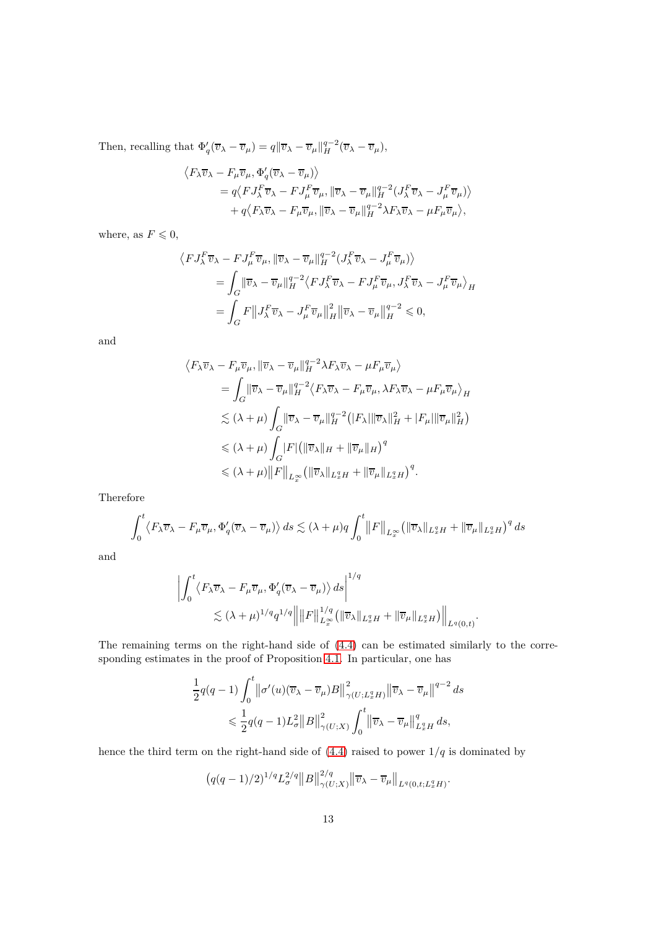Then, recalling that  $\Phi'_{q}(\overline{v}_{\lambda} - \overline{v}_{\mu}) = q \|\overline{v}_{\lambda} - \overline{v}_{\mu}\|_{H}^{q-2}(\overline{v}_{\lambda} - \overline{v}_{\mu}),$ 

$$
\begin{split} \left\langle F_{\lambda} \overline{v}_{\lambda} - F_{\mu} \overline{v}_{\mu}, \Phi_{q}'(\overline{v}_{\lambda} - \overline{v}_{\mu}) \right\rangle \\ &= q \langle F J_{\lambda}^{F} \overline{v}_{\lambda} - F J_{\mu}^{F} \overline{v}_{\mu}, \| \overline{v}_{\lambda} - \overline{v}_{\mu} \|_{H}^{q-2} (J_{\lambda}^{F} \overline{v}_{\lambda} - J_{\mu}^{F} \overline{v}_{\mu}) \right\rangle \\ &+ q \langle F_{\lambda} \overline{v}_{\lambda} - F_{\mu} \overline{v}_{\mu}, \| \overline{v}_{\lambda} - \overline{v}_{\mu} \|_{H}^{q-2} \lambda F_{\lambda} \overline{v}_{\lambda} - \mu F_{\mu} \overline{v}_{\mu} \rangle, \end{split}
$$

where, as  $F \leq 0$ ,

$$
\langle FJ_{\lambda}^{F}\overline{v}_{\lambda} - FJ_{\mu}^{F}\overline{v}_{\mu}, \|\overline{v}_{\lambda} - \overline{v}_{\mu}\|_{H}^{q-2}(J_{\lambda}^{F}\overline{v}_{\lambda} - J_{\mu}^{F}\overline{v}_{\mu})\rangle
$$
  
\n
$$
= \int_{G} \|\overline{v}_{\lambda} - \overline{v}_{\mu}\|_{H}^{q-2} \langle FJ_{\lambda}^{F}\overline{v}_{\lambda} - FJ_{\mu}^{F}\overline{v}_{\mu}, J_{\lambda}^{F}\overline{v}_{\lambda} - J_{\mu}^{F}\overline{v}_{\mu}\rangle_{H}
$$
  
\n
$$
= \int_{G} F\|J_{\lambda}^{F}\overline{v}_{\lambda} - J_{\mu}^{F}\overline{v}_{\mu}\|_{H}^{2} \|\overline{v}_{\lambda} - \overline{v}_{\mu}\|_{H}^{q-2} \leq 0,
$$

and

$$
\langle F_{\lambda}\overline{v}_{\lambda} - F_{\mu}\overline{v}_{\mu}, ||\overline{v}_{\lambda} - \overline{v}_{\mu}||_{H}^{q-2}\lambda F_{\lambda}\overline{v}_{\lambda} - \mu F_{\mu}\overline{v}_{\mu}\rangle
$$
  
\n
$$
= \int_{G} ||\overline{v}_{\lambda} - \overline{v}_{\mu}||_{H}^{q-2}\langle F_{\lambda}\overline{v}_{\lambda} - F_{\mu}\overline{v}_{\mu}, \lambda F_{\lambda}\overline{v}_{\lambda} - \mu F_{\mu}\overline{v}_{\mu}\rangle_{H}
$$
  
\n
$$
\lesssim (\lambda + \mu) \int_{G} ||\overline{v}_{\lambda} - \overline{v}_{\mu}||_{H}^{q-2} (|F_{\lambda}||\overline{v}_{\lambda}||_{H}^{2} + |F_{\mu}||\overline{v}_{\mu}||_{H}^{2})
$$
  
\n
$$
\leq (\lambda + \mu) \int_{G} |F| (||\overline{v}_{\lambda}||_{H} + ||\overline{v}_{\mu}||_{H})^{q}
$$
  
\n
$$
\leq (\lambda + \mu) ||F||_{L^{\infty}_{x}} (||\overline{v}_{\lambda}||_{L^{q}_{x}H} + ||\overline{v}_{\mu}||_{L^{q}_{x}H})^{q}.
$$

Therefore

$$
\int_0^t \langle F_\lambda \overline{v}_\lambda - F_\mu \overline{v}_\mu, \Phi'_q (\overline{v}_\lambda - \overline{v}_\mu) \rangle \, ds \lesssim (\lambda + \mu) q \int_0^t \left\| F \right\|_{L^\infty_x} \left( \left\| \overline{v}_\lambda \right\|_{L^q_x H} + \left\| \overline{v}_\mu \right\|_{L^q_x H} \right)^q ds
$$

and

$$
\left| \int_0^t \langle F_\lambda \overline{v}_\lambda - F_\mu \overline{v}_\mu, \Phi'_q (\overline{v}_\lambda - \overline{v}_\mu) \rangle ds \right|^{1/q}
$$
  

$$
\lesssim (\lambda + \mu)^{1/q} q^{1/q} \left\| \|F\|_{L^\infty_x}^{1/q} (\|\overline{v}_\lambda\|_{L^q_x H} + \|\overline{v}_\mu\|_{L^q_x H}) \right\|_{L^q(0,t)}.
$$

The remaining terms on the right-hand side of [\(4.4\)](#page-11-0) can be estimated similarly to the corresponding estimates in the proof of Proposition [4.1.](#page-7-1) In particular, one has

$$
\begin{aligned} \frac{1}{2}q(q-1)\int_0^t & \left\|\sigma'(u)(\overline{v}_\lambda-\overline{v}_\mu)B\right\|_{\gamma(U;L^q_xH)}^2\left\|\overline{v}_\lambda-\overline{v}_\mu\right\|^{q-2}ds\\ & \quad \leqslant \frac{1}{2}q(q-1)L_\sigma^2\big\|B\big\|_{\gamma(U;X)}^2\int_0^t \left\|\overline{v}_\lambda-\overline{v}_\mu\right\|_{L^q_xH}^qds,\end{aligned}
$$

hence the third term on the right-hand side of  $(4.4)$  raised to power  $1/q$  is dominated by

$$
(q(q-1)/2)^{1/q} L_{\sigma}^{2/q} ||B||_{\gamma(U;X)}^{2/q} ||\overline{v}_{\lambda} - \overline{v}_{\mu}||_{L^{q}(0,t;L_{x}^{q}H)}.
$$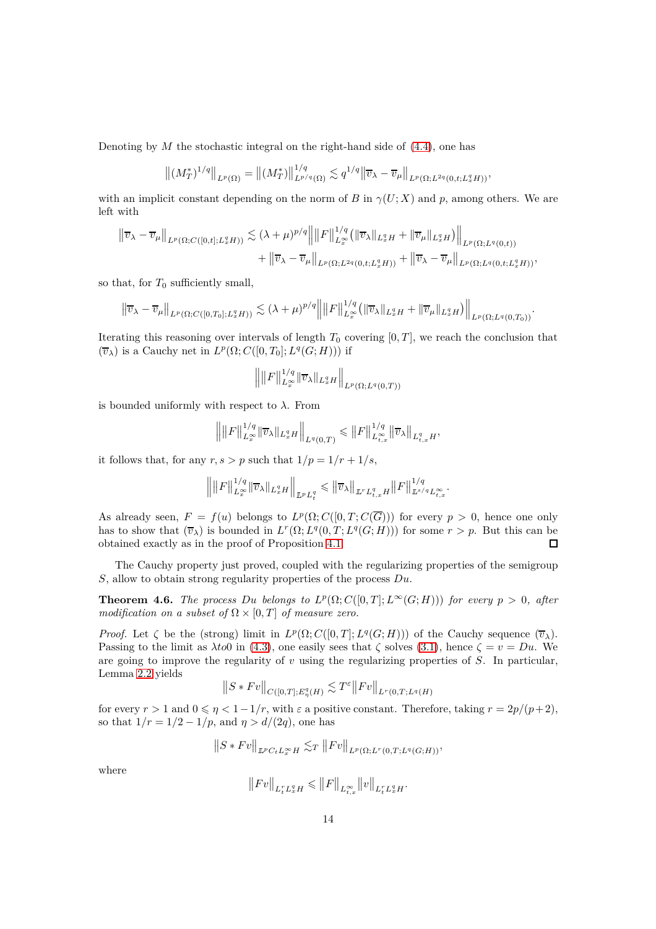Denoting by *M* the stochastic integral on the right-hand side of [\(4.4\)](#page-11-0), one has

$$
\left\| (M_T^*)^{1/q} \right\|_{L^p(\Omega)} = \left\| (M_T^*) \right\|_{L^{p/q}(\Omega)}^{1/q} \lesssim q^{1/q} \left\| \overline{v}_\lambda - \overline{v}_\mu \right\|_{L^p(\Omega; L^{2q}(0, t; L^q_x H))},
$$

with an implicit constant depending on the norm of *B* in  $\gamma(U; X)$  and *p*, among others. We are left with

$$
\|\overline{v}_{\lambda}-\overline{v}_{\mu}\|_{L^{p}(\Omega;C([0,t];L^{q}_{x}H))} \lesssim (\lambda+\mu)^{p/q} \|\|F\|_{L^{\infty}_{x}}^{1/q}(\|\overline{v}_{\lambda}\|_{L^{q}_{x}H}+\|\overline{v}_{\mu}\|_{L^{q}_{x}H})\|_{L^{p}(\Omega;L^{q}(0,t))}
$$

$$
+\|\overline{v}_{\lambda}-\overline{v}_{\mu}\|_{L^{p}(\Omega;L^{2q}(0,t;L^{q}_{x}H))}+\|\overline{v}_{\lambda}-\overline{v}_{\mu}\|_{L^{p}(\Omega;L^{q}(0,t;L^{q}_{x}H))},
$$

so that, for  $T_0$  sufficiently small,

$$
\left\|\overline{v}_{\lambda}-\overline{v}_{\mu}\right\|_{L^{p}(\Omega;C([0,T_0];L^{q}_{x}H))}\lesssim(\lambda+\mu)^{p/q}\left\||F\right\|^{1/q}_{L^{\infty}_{x}}\left(\|\overline{v}_{\lambda}\|_{L^{q}_{x}H}+\|\overline{v}_{\mu}\|_{L^{q}_{x}H}\right)\right\|_{L^{p}(\Omega;L^{q}(0,T_0))}.
$$

Iterating this reasoning over intervals of length  $T_0$  covering  $[0, T]$ , we reach the conclusion that  $(\overline{v}_{\lambda})$  is a Cauchy net in  $L^p(\Omega; C([0, T_0]; L^q(G; H)))$  if

$$
\left\| \|F\|_{L^\infty_x}^{1/q} \|\overline{v}_\lambda\|_{L^q_xH} \right\|_{L^p(\Omega;L^q(0,T))}
$$

is bounded uniformly with respect to  $\lambda$ . From

$$
\Big\|\big\|F\big\|_{L^\infty_x}^{1/q} \|\overline{v}_\lambda\|_{L^q_xH} \Big\|_{L^q(0,T)}\leqslant \big\|F\big\|_{L^\infty_{t,x}}^{1/q} \|\overline{v}_\lambda\big\|_{L^q_{t,x}H},
$$

it follows that, for any  $r, s > p$  such that  $1/p = 1/r + 1/s$ ,

$$
\Big\|\big\|F\big\|_{L^\infty_x}^{1/q}\|\overline{v}_\lambda\|_{L^q_xH}\Big\|_{\mathbb L^p L^q_t}\leqslant \|\overline{v}_\lambda\|_{\mathbb L^r L^q_{t,x}H}\|F\|_{\mathbb L^{s/q}L^\infty_{t,x}}^{1/q}.
$$

As already seen,  $F = f(u)$  belongs to  $L^p(\Omega; C([0,T; C(\overline{G})))$  for every  $p > 0$ , hence one only has to show that  $(\overline{v}_\lambda)$  is bounded in  $L^r(\Omega; L^q(0,T; L^q(G;H)))$  for some  $r > p$ . But this can be obtained exactly as in the proof of Proposition [4.1.](#page-7-1)  $\Box$ 

The Cauchy property just proved, coupled with the regularizing properties of the semigroup *S*, allow to obtain strong regularity properties of the process *Du*.

**Theorem 4.6.** *The process Du belongs* to  $L^p(\Omega; C([0,T]; L^\infty(G; H)))$  *for every*  $p > 0$ *, after modification on a subset of*  $\Omega \times [0, T]$  *of measure zero.* 

*Proof.* Let  $\zeta$  be the (strong) limit in  $L^p(\Omega; C([0,T]; L^q(G;H)))$  of the Cauchy sequence  $(\overline{v}_\lambda)$ . Passing to the limit as  $\lambda \to 0$  in [\(4.3\)](#page-11-1), one easily sees that  $\zeta$  solves [\(3.1\)](#page-5-0), hence  $\zeta = v = Du$ . We are going to improve the regularity of *v* using the regularizing properties of *S*. In particular, Lemma [2.2](#page-2-3) yields

$$
||S * Fv||_{C([0,T];E^q_\eta(H)} \lesssim T^{\varepsilon}||Fv||_{L^r(0,T;L^q(H)}
$$

for every  $r > 1$  and  $0 \leq \eta < 1-1/r$ , with  $\varepsilon$  a positive constant. Therefore, taking  $r = 2p/(p+2)$ , so that  $1/r = 1/2 - 1/p$ , and  $\eta > d/(2q)$ , one has

$$
||S*Fv||_{L^pC_tL_x^{\infty}H} \lesssim_T ||Fv||_{L^p(\Omega;L^r(0,T;L^q(G;H)))},
$$

where

$$
\big\|Fv\big\|_{L^r_tL^q_xH}\leqslant \big\|F\big\|_{L^\infty_{t,x}}\big\|v\big\|_{L^r_tL^q_xH}.
$$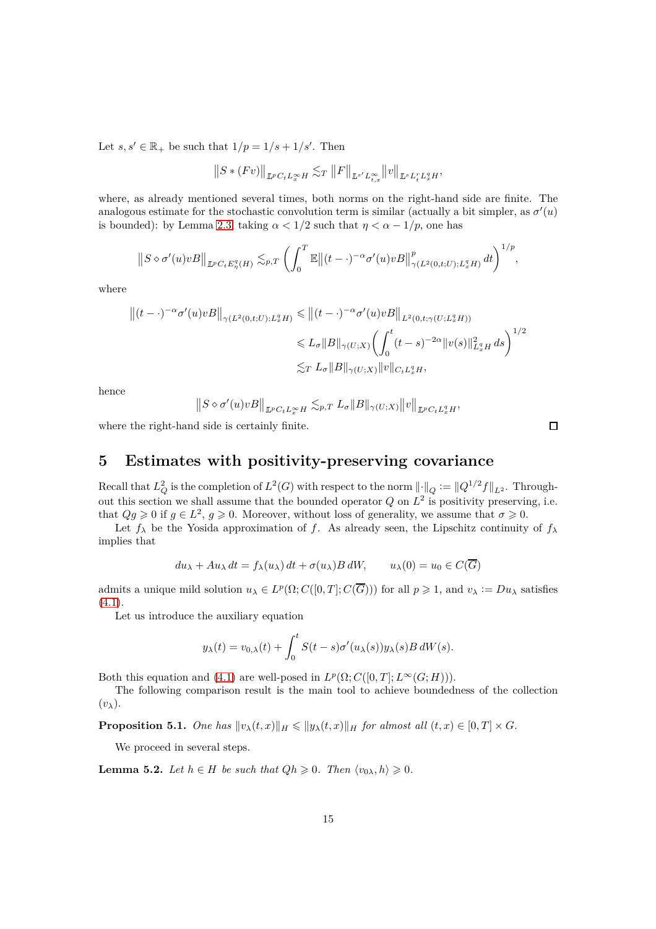Let  $s, s' \in \mathbb{R}_+$  be such that  $1/p = 1/s + 1/s'$ . Then

$$
\left\|S\ast(Fv)\right\|_{\mathbb{L}^p C_t L_x^\infty H}\lesssim_T \left\|F\right\|_{\mathbb{L}^{s'} L_{t,x}^\infty}\left\|v\right\|_{\mathbb{L}^s L_t^r L_x^q H},
$$

where, as already mentioned several times, both norms on the right-hand side are finite. The analogous estimate for the stochastic convolution term is similar (actually a bit simpler, as  $\sigma'(u)$ ) is bounded): by Lemma [2.3,](#page-3-0) taking  $\alpha < 1/2$  such that  $\eta < \alpha - 1/p$ , one has

$$
||S \diamond \sigma'(u) v B||_{L^p C_t E^q_\eta(H)} \lesssim_{p,T} \left( \int_0^T \mathbb{E} \left\| (t-\cdot)^{-\alpha} \sigma'(u) v B \right\|_{\gamma(L^2(0,t;U);L^q_x H)}^p dt \right)^{1/p},
$$

where

$$
\begin{aligned} \left\| (t-\cdot)^{-\alpha} \sigma'(u) v B \right\|_{\gamma(L^2(0,t;U);L^q_x H)} &\leqslant \left\| (t-\cdot)^{-\alpha} \sigma'(u) v B \right\|_{L^2(0,t;\gamma(U;L^q_x H))} \\ &\leqslant L_\sigma \|B\|_{\gamma(U;X)} \biggl( \int_0^t (t-s)^{-2\alpha} \|v(s)\|_{L^q_x H}^2 ds \biggr)^{1/2} \\ &\lesssim_T L_\sigma \|B\|_{\gamma(U;X)} \|v\|_{C_t L^q_x H}, \end{aligned}
$$

hence

$$
\left\|S\diamond\sigma'(u) v B\right\|_{\mathbb{L}^p C_t L^\infty_x H} \lesssim_{p,T} L_\sigma\|B\|_{\gamma(U;X)}\|v\|_{\mathbb{L}^p C_t L^q_x H},
$$

where the right-hand side is certainly finite.

**5 Estimates with positivity-preserving covariance**

Recall that  $L_Q^2$  is the completion of  $L^2(G)$  with respect to the norm  $\lVert \cdot \rVert_Q := \lVert Q^{1/2} f \rVert_{L^2}$ . Throughout this section we shall assume that the bounded operator  $Q$  on  $L^2$  is positivity preserving, i.e. that  $Qg \geq 0$  if  $g \in L^2$ ,  $g \geq 0$ . Moreover, without loss of generality, we assume that  $\sigma \geq 0$ .

Let  $f_{\lambda}$  be the Yosida approximation of *f*. As already seen, the Lipschitz continuity of  $f_{\lambda}$ implies that

$$
du_{\lambda} + Au_{\lambda} dt = f_{\lambda}(u_{\lambda}) dt + \sigma(u_{\lambda}) B dW, \qquad u_{\lambda}(0) = u_0 \in C(\overline{G})
$$

admits a unique mild solution  $u_{\lambda} \in L^p(\Omega; C([0, T]; C(\overline{G})))$  for all  $p \geqslant 1$ , and  $v_{\lambda} := Du_{\lambda}$  satisfies  $(4.1).$  $(4.1).$ 

Let us introduce the auxiliary equation

$$
y_{\lambda}(t) = v_{0,\lambda}(t) + \int_0^t S(t-s)\sigma'(u_{\lambda}(s))y_{\lambda}(s)B dW(s).
$$

Both this equation and [\(4.1\)](#page-6-0) are well-posed in  $L^p(\Omega; C([0, T]; L^\infty(G; H))).$ 

The following comparison result is the main tool to achieve boundedness of the collection (*vλ*).

<span id="page-14-0"></span>**Proposition 5.1.** *One has*  $\|v_{\lambda}(t,x)\|_{H} \leq \|y_{\lambda}(t,x)\|_{H}$  *for almost all*  $(t,x) \in [0,T] \times G$ *.* 

We proceed in several steps.

**Lemma 5.2.** *Let*  $h \in H$  *be such that*  $Qh \geq 0$ *. Then*  $\langle v_{0\lambda}, h \rangle \geq 0$ *.* 

 $\Box$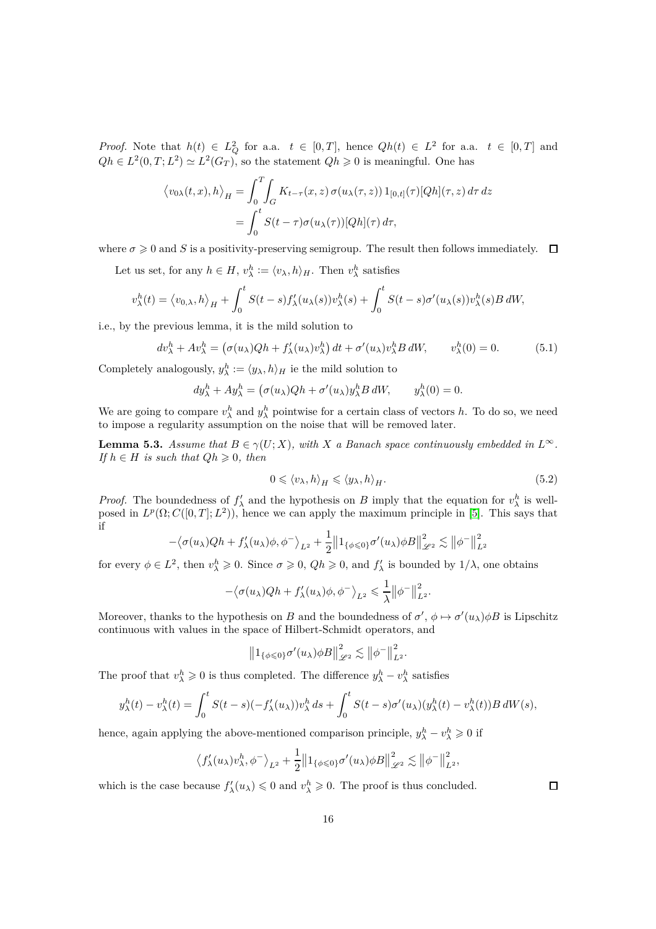*Proof.* Note that  $h(t) \in L^2_Q$  for a.a.  $t \in [0,T]$ , hence  $Qh(t) \in L^2$  for a.a.  $t \in [0,T]$  and  $Qh \in L^2(0,T;L^2) \simeq L^2(G_T)$ , so the statement  $Qh \geqslant 0$  is meaningful. One has

$$
\langle v_{0\lambda}(t,x),h\rangle_H = \int_0^T \int_G K_{t-\tau}(x,z)\,\sigma(u_\lambda(\tau,z))\,1_{[0,t]}(\tau)[Qh](\tau,z)\,d\tau\,dz
$$

$$
= \int_0^t S(t-\tau)\sigma(u_\lambda(\tau))[Qh](\tau)\,d\tau,
$$

where  $\sigma \geq 0$  and *S* is a positivity-preserving semigroup. The result then follows immediately.  $\Box$ 

Let us set, for any  $h \in H$ ,  $v_{\lambda}^h := \langle v_{\lambda}, h \rangle_H$ . Then  $v_{\lambda}^h$  satisfies

$$
v_{\lambda}^{h}(t) = \langle v_{0,\lambda}, h \rangle_{H} + \int_{0}^{t} S(t-s) f_{\lambda}'(u_{\lambda}(s)) v_{\lambda}^{h}(s) + \int_{0}^{t} S(t-s) \sigma'(u_{\lambda}(s)) v_{\lambda}^{h}(s) B dW,
$$

i.e., by the previous lemma, it is the mild solution to

$$
dv_{\lambda}^h + Av_{\lambda}^h = \left(\sigma(u_{\lambda})Qh + f_{\lambda}'(u_{\lambda})v_{\lambda}^h\right)dt + \sigma'(u_{\lambda})v_{\lambda}^h B dW, \qquad v_{\lambda}^h(0) = 0. \tag{5.1}
$$

Completely analogously,  $y_{\lambda}^h := \langle y_{\lambda}, h \rangle_H$  ie the mild solution to

$$
dy_{\lambda}^{h} + Ay_{\lambda}^{h} = (\sigma(u_{\lambda})Qh + \sigma'(u_{\lambda})y_{\lambda}^{h}B dW, \qquad y_{\lambda}^{h}(0) = 0.
$$

We are going to compare  $v_{\lambda}^h$  and  $y_{\lambda}^h$  pointwise for a certain class of vectors *h*. To do so, we need to impose a regularity assumption on the noise that will be removed later.

**Lemma 5.3.** *Assume that*  $B \in \gamma(U; X)$ *, with X a Banach space continuously embedded in*  $L^{\infty}$ *. If*  $h \in H$  *is such that*  $Qh \geq 0$ *, then* 

$$
0 \leqslant \langle v_{\lambda}, h \rangle_{H} \leqslant \langle y_{\lambda}, h \rangle_{H}.
$$
\n
$$
(5.2)
$$

*Proof.* The boundedness of  $f'_{\lambda}$  and the hypothesis on *B* imply that the equation for  $v^h_{\lambda}$  is wellposed in  $L^p(\Omega; C([0,T]; L^2))$ , hence we can apply the maximum principle in [\[5\]](#page-17-11). This says that if

$$
-\langle \sigma(u_{\lambda})Qh+f'_{\lambda}(u_{\lambda})\phi,\phi^{-}\rangle_{L^{2}}+\frac{1}{2}\big\Vert 1_{\{\phi\leqslant 0\}}\sigma'(u_{\lambda})\phi B\big\Vert_{\mathscr{L}^{2}}^{2}\lesssim\big\Vert \phi^{-}\big\Vert_{L^{2}}^{2}
$$

for every  $\phi \in L^2$ , then  $v_\lambda^h \geq 0$ . Since  $\sigma \geq 0$ ,  $Qh \geq 0$ , and  $f'_\lambda$  is bounded by  $1/\lambda$ , one obtains

$$
-\big\langle \sigma(u_\lambda)Qh+f'_\lambda(u_\lambda)\phi,\phi^-\big\rangle_{L^2}\leqslant \frac{1}{\lambda}\big\|\phi^-\big\|_{L^2}^2.
$$

Moreover, thanks to the hypothesis on *B* and the boundedness of  $\sigma'$ ,  $\phi \mapsto \sigma'(u_\lambda)\phi B$  is Lipschitz continuous with values in the space of Hilbert-Schmidt operators, and

$$
\left\|1_{\{\phi\leqslant 0\}}\sigma'(u_\lambda)\phi B\right\|_{\mathscr{L}^2}^2 \lesssim \left\|\phi^-\right\|_{L^2}^2.
$$

The proof that  $v_{\lambda}^{h} \ge 0$  is thus completed. The difference  $y_{\lambda}^{h} - v_{\lambda}^{h}$  satisfies

$$
y_{\lambda}^{h}(t) - v_{\lambda}^{h}(t) = \int_{0}^{t} S(t-s)(-f_{\lambda}'(u_{\lambda}))v_{\lambda}^{h} ds + \int_{0}^{t} S(t-s)\sigma'(u_{\lambda})(y_{\lambda}^{h}(t) - v_{\lambda}^{h}(t))B dW(s),
$$

hence, again applying the above-mentioned comparison principle,  $y_{\lambda}^{h} - v_{\lambda}^{h} \geqslant 0$  if

$$
\left\langle f'_{\lambda}(u_{\lambda})v_{\lambda}^{h},\phi^{-}\right\rangle_{L^{2}}+\frac{1}{2}\left\|1_{\{\phi\leqslant 0\}}\sigma'(u_{\lambda})\phi B\right\|_{\mathscr{L}^{2}}^{2}\lesssim\left\|\phi^{-}\right\|_{L^{2}}^{2},
$$

which is the case because  $f'_{\lambda}(u_{\lambda}) \leq 0$  and  $v_{\lambda}^{h} \geq 0$ . The proof is thus concluded.

 $\Box$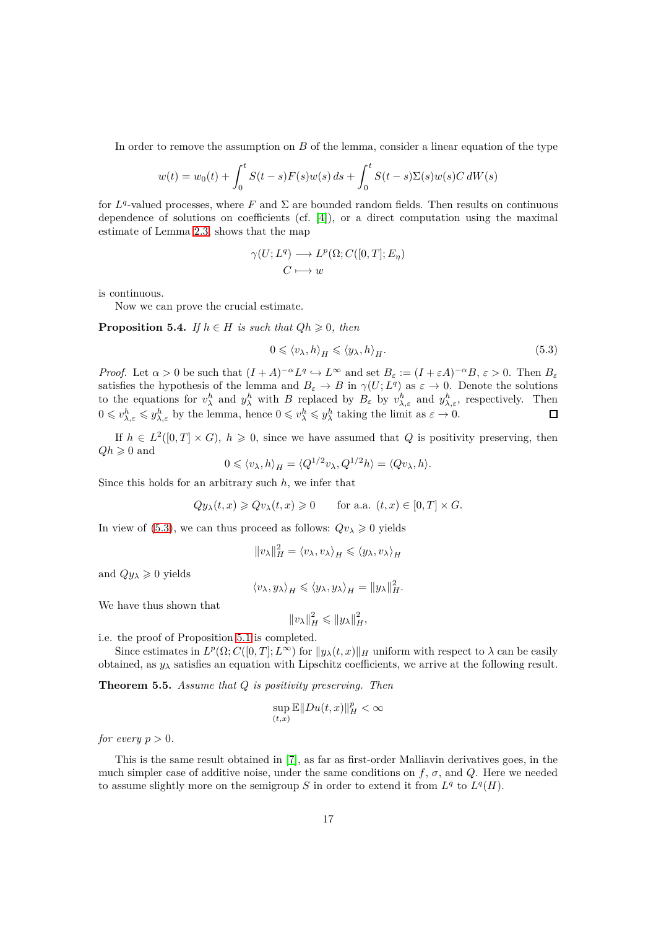In order to remove the assumption on *B* of the lemma, consider a linear equation of the type

$$
w(t) = w_0(t) + \int_0^t S(t - s)F(s)w(s) ds + \int_0^t S(t - s)\Sigma(s)w(s)C dW(s)
$$

for  $L^q$ -valued processes, where F and  $\Sigma$  are bounded random fields. Then results on continuous dependence of solutions on coefficients (cf.  $[4]$ ), or a direct computation using the maximal estimate of Lemma [2.3,](#page-3-0) shows that the map

$$
\gamma(U;L^q) \longrightarrow L^p(\Omega;C([0,T];E_\eta) C \longmapsto w
$$

is continuous.

Now we can prove the crucial estimate.

**Proposition 5.4.** *If*  $h \in H$  *is such that*  $Qh \geq 0$ *, then* 

<span id="page-16-0"></span>
$$
0 \leqslant \langle v_{\lambda}, h \rangle_{H} \leqslant \langle y_{\lambda}, h \rangle_{H}.
$$
\n
$$
(5.3)
$$

*Proof.* Let  $\alpha > 0$  be such that  $(I + A)^{-\alpha} L^q \hookrightarrow L^{\infty}$  and set  $B_{\varepsilon} := (I + \varepsilon A)^{-\alpha} B$ ,  $\varepsilon > 0$ . Then  $B_{\varepsilon}$ satisfies the hypothesis of the lemma and  $B_\varepsilon \to B$  in  $\gamma(U;L^q)$  as  $\varepsilon \to 0$ . Denote the solutions to the equations for  $v^h_\lambda$  and  $y^h_\lambda$  with *B* replaced by  $B_\varepsilon$  by  $v^h_{\lambda,\varepsilon}$  and  $y^h_{\lambda,\varepsilon}$ , respectively. Then  $0 \leq v_{\lambda,\varepsilon}^h \leq y_{\lambda,\varepsilon}^h$  by the lemma, hence  $0 \leq v_{\lambda}^h \leq y_{\lambda}^h$  taking the limit as  $\varepsilon \to 0$ .

If  $h \in L^2([0,T] \times G)$ ,  $h \geq 0$ , since we have assumed that *Q* is positivity preserving, then  $Qh \geqslant 0$  and

$$
0 \leqslant \langle v_{\lambda}, h \rangle_{H} = \langle Q^{1/2} v_{\lambda}, Q^{1/2} h \rangle = \langle Q v_{\lambda}, h \rangle.
$$

Since this holds for an arbitrary such *h*, we infer that

$$
Qy_{\lambda}(t,x) \geq Qv_{\lambda}(t,x) \geq 0
$$
 for a.a.  $(t,x) \in [0,T] \times G$ .

In view of [\(5.3\)](#page-16-0), we can thus proceed as follows:  $Qv_{\lambda} \geq 0$  yields

$$
||v_{\lambda}||_{H}^{2} = \langle v_{\lambda}, v_{\lambda} \rangle_{H} \leq \langle y_{\lambda}, v_{\lambda} \rangle_{H}
$$

and  $Qy_\lambda \geq 0$  yields

$$
\langle v_\lambda, y_\lambda \rangle_H \leqslant \langle y_\lambda, y_\lambda \rangle_H = ||y_\lambda||_H^2.
$$

We have thus shown that

$$
||v_\lambda||_H^2 \le ||y_\lambda||_H^2,
$$

i.e. the proof of Proposition [5.1](#page-14-0) is completed.

Since estimates in  $L^p(\Omega; C([0,T]; L^{\infty})$  for  $||y_\lambda(t,x)||_H$  uniform with respect to  $\lambda$  can be easily obtained, as  $y_\lambda$  satisfies an equation with Lipschitz coefficients, we arrive at the following result.

**Theorem 5.5.** *Assume that Q is positivity preserving. Then*

$$
\sup_{(t,x)} \mathbb{E} \|Du(t,x)\|_H^p < \infty
$$

*for every*  $p > 0$ *.* 

This is the same result obtained in [\[7\]](#page-17-1), as far as first-order Malliavin derivatives goes, in the much simpler case of additive noise, under the same conditions on  $f$ ,  $\sigma$ , and  $Q$ . Here we needed to assume slightly more on the semigroup *S* in order to extend it from  $L^q$  to  $L^q(H)$ .